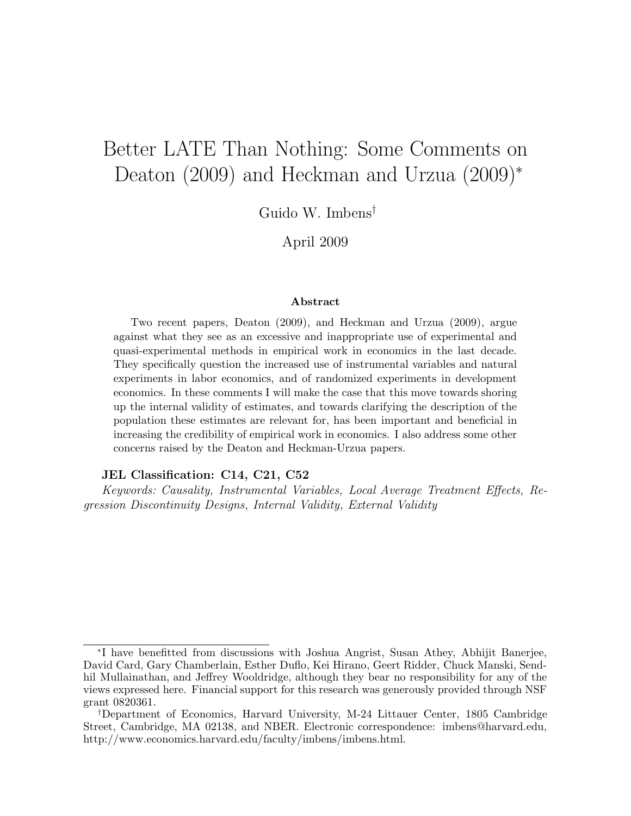# Better LATE Than Nothing: Some Comments on Deaton (2009) and Heckman and Urzua (2009)<sup>∗</sup>

Guido W. Imbens†

April 2009

#### Abstract

Two recent papers, Deaton (2009), and Heckman and Urzua (2009), argue against what they see as an excessive and inappropriate use of experimental and quasi-experimental methods in empirical work in economics in the last decade. They specifically question the increased use of instrumental variables and natural experiments in labor economics, and of randomized experiments in development economics. In these comments I will make the case that this move towards shoring up the internal validity of estimates, and towards clarifying the description of the population these estimates are relevant for, has been important and beneficial in increasing the credibility of empirical work in economics. I also address some other concerns raised by the Deaton and Heckman-Urzua papers.

#### JEL Classification: C14, C21, C52

Keywords: Causality, Instrumental Variables, Local Average Treatment Effects, Regression Discontinuity Designs, Internal Validity, External Validity

<sup>∗</sup> I have benefitted from discussions with Joshua Angrist, Susan Athey, Abhijit Banerjee, David Card, Gary Chamberlain, Esther Duflo, Kei Hirano, Geert Ridder, Chuck Manski, Sendhil Mullainathan, and Jeffrey Wooldridge, although they bear no responsibility for any of the views expressed here. Financial support for this research was generously provided through NSF grant 0820361.

<sup>†</sup>Department of Economics, Harvard University, M-24 Littauer Center, 1805 Cambridge Street, Cambridge, MA 02138, and NBER. Electronic correspondence: imbens@harvard.edu, http://www.economics.harvard.edu/faculty/imbens/imbens.html.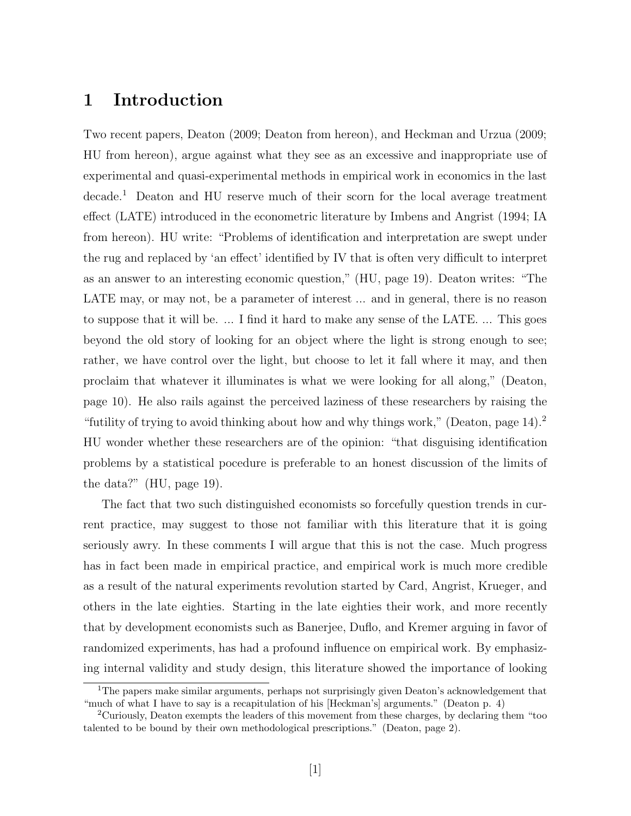### 1 Introduction

Two recent papers, Deaton (2009; Deaton from hereon), and Heckman and Urzua (2009; HU from hereon), argue against what they see as an excessive and inappropriate use of experimental and quasi-experimental methods in empirical work in economics in the last decade.<sup>1</sup> Deaton and HU reserve much of their scorn for the local average treatment effect (LATE) introduced in the econometric literature by Imbens and Angrist (1994; IA from hereon). HU write: "Problems of identification and interpretation are swept under the rug and replaced by 'an effect' identified by IV that is often very difficult to interpret as an answer to an interesting economic question," (HU, page 19). Deaton writes: "The LATE may, or may not, be a parameter of interest ... and in general, there is no reason to suppose that it will be. ... I find it hard to make any sense of the LATE. ... This goes beyond the old story of looking for an object where the light is strong enough to see; rather, we have control over the light, but choose to let it fall where it may, and then proclaim that whatever it illuminates is what we were looking for all along," (Deaton, page 10). He also rails against the perceived laziness of these researchers by raising the "futility of trying to avoid thinking about how and why things work," (Deaton, page  $14$ ).<sup>2</sup> HU wonder whether these researchers are of the opinion: "that disguising identification problems by a statistical pocedure is preferable to an honest discussion of the limits of the data?" (HU, page 19).

The fact that two such distinguished economists so forcefully question trends in current practice, may suggest to those not familiar with this literature that it is going seriously awry. In these comments I will argue that this is not the case. Much progress has in fact been made in empirical practice, and empirical work is much more credible as a result of the natural experiments revolution started by Card, Angrist, Krueger, and others in the late eighties. Starting in the late eighties their work, and more recently that by development economists such as Banerjee, Duflo, and Kremer arguing in favor of randomized experiments, has had a profound influence on empirical work. By emphasizing internal validity and study design, this literature showed the importance of looking

<sup>&</sup>lt;sup>1</sup>The papers make similar arguments, perhaps not surprisingly given Deaton's acknowledgement that "much of what I have to say is a recapitulation of his [Heckman's] arguments." (Deaton p. 4)

<sup>2</sup>Curiously, Deaton exempts the leaders of this movement from these charges, by declaring them "too talented to be bound by their own methodological prescriptions." (Deaton, page 2).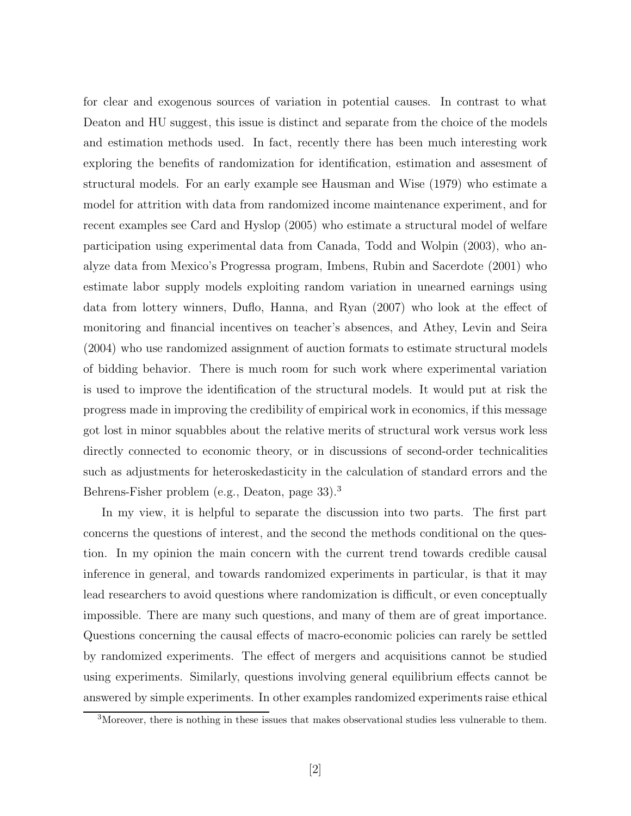for clear and exogenous sources of variation in potential causes. In contrast to what Deaton and HU suggest, this issue is distinct and separate from the choice of the models and estimation methods used. In fact, recently there has been much interesting work exploring the benefits of randomization for identification, estimation and assesment of structural models. For an early example see Hausman and Wise (1979) who estimate a model for attrition with data from randomized income maintenance experiment, and for recent examples see Card and Hyslop (2005) who estimate a structural model of welfare participation using experimental data from Canada, Todd and Wolpin (2003), who analyze data from Mexico's Progressa program, Imbens, Rubin and Sacerdote (2001) who estimate labor supply models exploiting random variation in unearned earnings using data from lottery winners, Duflo, Hanna, and Ryan (2007) who look at the effect of monitoring and financial incentives on teacher's absences, and Athey, Levin and Seira (2004) who use randomized assignment of auction formats to estimate structural models of bidding behavior. There is much room for such work where experimental variation is used to improve the identification of the structural models. It would put at risk the progress made in improving the credibility of empirical work in economics, if this message got lost in minor squabbles about the relative merits of structural work versus work less directly connected to economic theory, or in discussions of second-order technicalities such as adjustments for heteroskedasticity in the calculation of standard errors and the Behrens-Fisher problem (e.g., Deaton, page 33).<sup>3</sup>

In my view, it is helpful to separate the discussion into two parts. The first part concerns the questions of interest, and the second the methods conditional on the question. In my opinion the main concern with the current trend towards credible causal inference in general, and towards randomized experiments in particular, is that it may lead researchers to avoid questions where randomization is difficult, or even conceptually impossible. There are many such questions, and many of them are of great importance. Questions concerning the causal effects of macro-economic policies can rarely be settled by randomized experiments. The effect of mergers and acquisitions cannot be studied using experiments. Similarly, questions involving general equilibrium effects cannot be answered by simple experiments. In other examples randomized experiments raise ethical

<sup>&</sup>lt;sup>3</sup>Moreover, there is nothing in these issues that makes observational studies less vulnerable to them.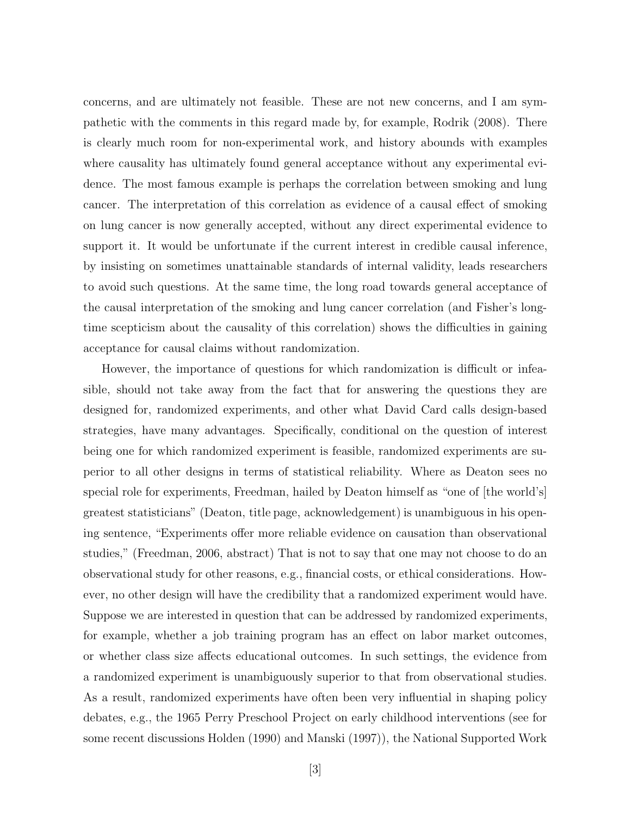concerns, and are ultimately not feasible. These are not new concerns, and I am sympathetic with the comments in this regard made by, for example, Rodrik (2008). There is clearly much room for non-experimental work, and history abounds with examples where causality has ultimately found general acceptance without any experimental evidence. The most famous example is perhaps the correlation between smoking and lung cancer. The interpretation of this correlation as evidence of a causal effect of smoking on lung cancer is now generally accepted, without any direct experimental evidence to support it. It would be unfortunate if the current interest in credible causal inference, by insisting on sometimes unattainable standards of internal validity, leads researchers to avoid such questions. At the same time, the long road towards general acceptance of the causal interpretation of the smoking and lung cancer correlation (and Fisher's longtime scepticism about the causality of this correlation) shows the difficulties in gaining acceptance for causal claims without randomization.

However, the importance of questions for which randomization is difficult or infeasible, should not take away from the fact that for answering the questions they are designed for, randomized experiments, and other what David Card calls design-based strategies, have many advantages. Specifically, conditional on the question of interest being one for which randomized experiment is feasible, randomized experiments are superior to all other designs in terms of statistical reliability. Where as Deaton sees no special role for experiments, Freedman, hailed by Deaton himself as "one of [the world's] greatest statisticians" (Deaton, title page, acknowledgement) is unambiguous in his opening sentence, "Experiments offer more reliable evidence on causation than observational studies," (Freedman, 2006, abstract) That is not to say that one may not choose to do an observational study for other reasons, e.g., financial costs, or ethical considerations. However, no other design will have the credibility that a randomized experiment would have. Suppose we are interested in question that can be addressed by randomized experiments, for example, whether a job training program has an effect on labor market outcomes, or whether class size affects educational outcomes. In such settings, the evidence from a randomized experiment is unambiguously superior to that from observational studies. As a result, randomized experiments have often been very influential in shaping policy debates, e.g., the 1965 Perry Preschool Project on early childhood interventions (see for some recent discussions Holden (1990) and Manski (1997)), the National Supported Work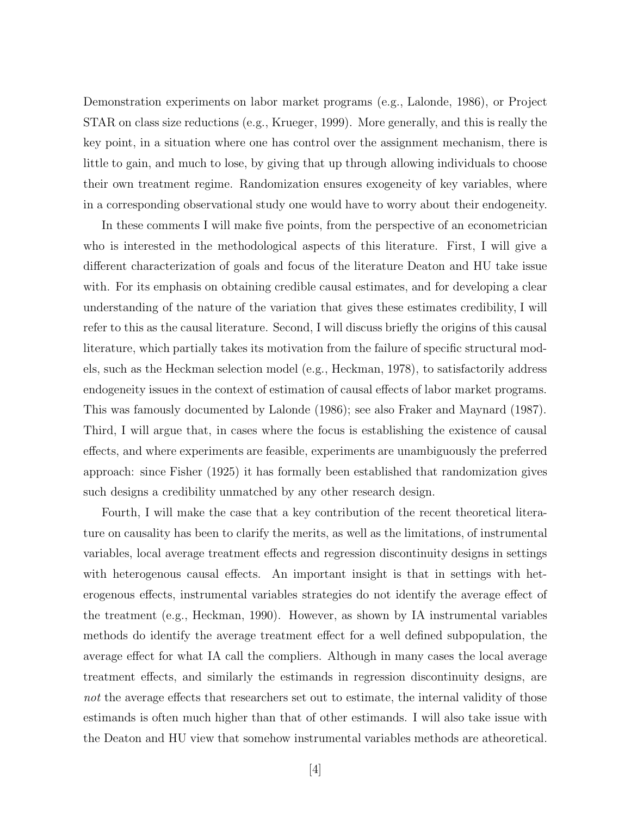Demonstration experiments on labor market programs (e.g., Lalonde, 1986), or Project STAR on class size reductions (e.g., Krueger, 1999). More generally, and this is really the key point, in a situation where one has control over the assignment mechanism, there is little to gain, and much to lose, by giving that up through allowing individuals to choose their own treatment regime. Randomization ensures exogeneity of key variables, where in a corresponding observational study one would have to worry about their endogeneity.

In these comments I will make five points, from the perspective of an econometrician who is interested in the methodological aspects of this literature. First, I will give a different characterization of goals and focus of the literature Deaton and HU take issue with. For its emphasis on obtaining credible causal estimates, and for developing a clear understanding of the nature of the variation that gives these estimates credibility, I will refer to this as the causal literature. Second, I will discuss briefly the origins of this causal literature, which partially takes its motivation from the failure of specific structural models, such as the Heckman selection model (e.g., Heckman, 1978), to satisfactorily address endogeneity issues in the context of estimation of causal effects of labor market programs. This was famously documented by Lalonde (1986); see also Fraker and Maynard (1987). Third, I will argue that, in cases where the focus is establishing the existence of causal effects, and where experiments are feasible, experiments are unambiguously the preferred approach: since Fisher (1925) it has formally been established that randomization gives such designs a credibility unmatched by any other research design.

Fourth, I will make the case that a key contribution of the recent theoretical literature on causality has been to clarify the merits, as well as the limitations, of instrumental variables, local average treatment effects and regression discontinuity designs in settings with heterogenous causal effects. An important insight is that in settings with heterogenous effects, instrumental variables strategies do not identify the average effect of the treatment (e.g., Heckman, 1990). However, as shown by IA instrumental variables methods do identify the average treatment effect for a well defined subpopulation, the average effect for what IA call the compliers. Although in many cases the local average treatment effects, and similarly the estimands in regression discontinuity designs, are not the average effects that researchers set out to estimate, the internal validity of those estimands is often much higher than that of other estimands. I will also take issue with the Deaton and HU view that somehow instrumental variables methods are atheoretical.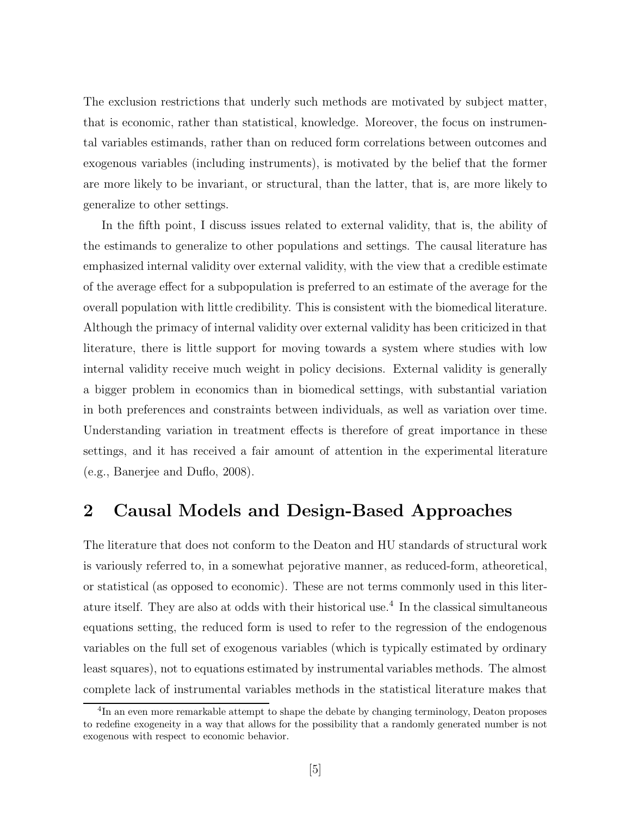The exclusion restrictions that underly such methods are motivated by subject matter, that is economic, rather than statistical, knowledge. Moreover, the focus on instrumental variables estimands, rather than on reduced form correlations between outcomes and exogenous variables (including instruments), is motivated by the belief that the former are more likely to be invariant, or structural, than the latter, that is, are more likely to generalize to other settings.

In the fifth point, I discuss issues related to external validity, that is, the ability of the estimands to generalize to other populations and settings. The causal literature has emphasized internal validity over external validity, with the view that a credible estimate of the average effect for a subpopulation is preferred to an estimate of the average for the overall population with little credibility. This is consistent with the biomedical literature. Although the primacy of internal validity over external validity has been criticized in that literature, there is little support for moving towards a system where studies with low internal validity receive much weight in policy decisions. External validity is generally a bigger problem in economics than in biomedical settings, with substantial variation in both preferences and constraints between individuals, as well as variation over time. Understanding variation in treatment effects is therefore of great importance in these settings, and it has received a fair amount of attention in the experimental literature (e.g., Banerjee and Duflo, 2008).

### 2 Causal Models and Design-Based Approaches

The literature that does not conform to the Deaton and HU standards of structural work is variously referred to, in a somewhat pejorative manner, as reduced-form, atheoretical, or statistical (as opposed to economic). These are not terms commonly used in this literature itself. They are also at odds with their historical use. 4 In the classical simultaneous equations setting, the reduced form is used to refer to the regression of the endogenous variables on the full set of exogenous variables (which is typically estimated by ordinary least squares), not to equations estimated by instrumental variables methods. The almost complete lack of instrumental variables methods in the statistical literature makes that

<sup>&</sup>lt;sup>4</sup>In an even more remarkable attempt to shape the debate by changing terminology, Deaton proposes to redefine exogeneity in a way that allows for the possibility that a randomly generated number is not exogenous with respect to economic behavior.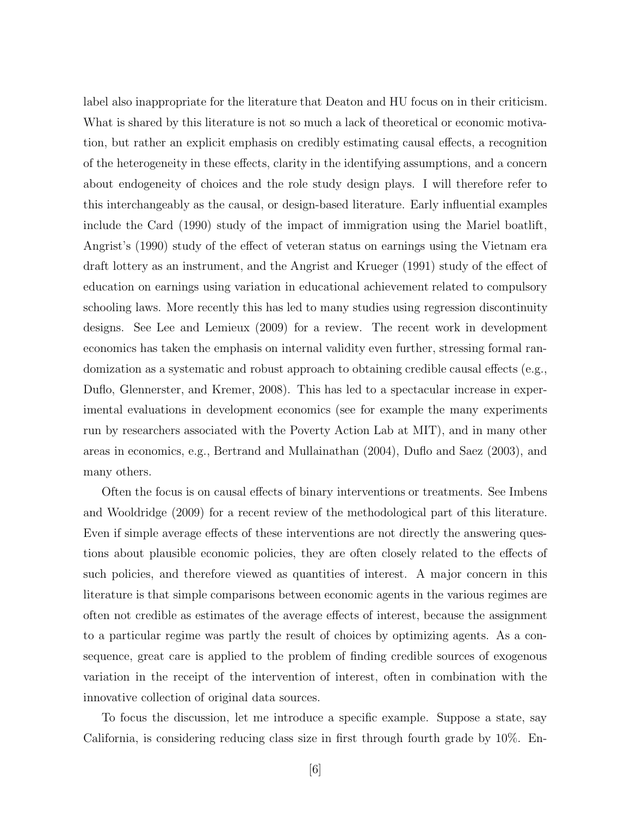label also inappropriate for the literature that Deaton and HU focus on in their criticism. What is shared by this literature is not so much a lack of theoretical or economic motivation, but rather an explicit emphasis on credibly estimating causal effects, a recognition of the heterogeneity in these effects, clarity in the identifying assumptions, and a concern about endogeneity of choices and the role study design plays. I will therefore refer to this interchangeably as the causal, or design-based literature. Early influential examples include the Card (1990) study of the impact of immigration using the Mariel boatlift, Angrist's (1990) study of the effect of veteran status on earnings using the Vietnam era draft lottery as an instrument, and the Angrist and Krueger (1991) study of the effect of education on earnings using variation in educational achievement related to compulsory schooling laws. More recently this has led to many studies using regression discontinuity designs. See Lee and Lemieux (2009) for a review. The recent work in development economics has taken the emphasis on internal validity even further, stressing formal randomization as a systematic and robust approach to obtaining credible causal effects (e.g., Duflo, Glennerster, and Kremer, 2008). This has led to a spectacular increase in experimental evaluations in development economics (see for example the many experiments run by researchers associated with the Poverty Action Lab at MIT), and in many other areas in economics, e.g., Bertrand and Mullainathan (2004), Duflo and Saez (2003), and many others.

Often the focus is on causal effects of binary interventions or treatments. See Imbens and Wooldridge (2009) for a recent review of the methodological part of this literature. Even if simple average effects of these interventions are not directly the answering questions about plausible economic policies, they are often closely related to the effects of such policies, and therefore viewed as quantities of interest. A major concern in this literature is that simple comparisons between economic agents in the various regimes are often not credible as estimates of the average effects of interest, because the assignment to a particular regime was partly the result of choices by optimizing agents. As a consequence, great care is applied to the problem of finding credible sources of exogenous variation in the receipt of the intervention of interest, often in combination with the innovative collection of original data sources.

To focus the discussion, let me introduce a specific example. Suppose a state, say California, is considering reducing class size in first through fourth grade by 10%. En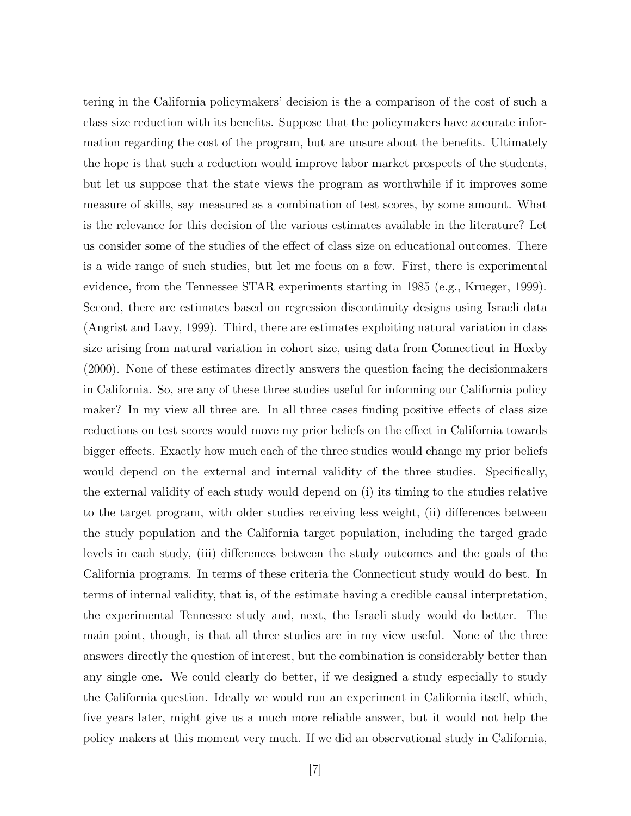tering in the California policymakers' decision is the a comparison of the cost of such a class size reduction with its benefits. Suppose that the policymakers have accurate information regarding the cost of the program, but are unsure about the benefits. Ultimately the hope is that such a reduction would improve labor market prospects of the students, but let us suppose that the state views the program as worthwhile if it improves some measure of skills, say measured as a combination of test scores, by some amount. What is the relevance for this decision of the various estimates available in the literature? Let us consider some of the studies of the effect of class size on educational outcomes. There is a wide range of such studies, but let me focus on a few. First, there is experimental evidence, from the Tennessee STAR experiments starting in 1985 (e.g., Krueger, 1999). Second, there are estimates based on regression discontinuity designs using Israeli data (Angrist and Lavy, 1999). Third, there are estimates exploiting natural variation in class size arising from natural variation in cohort size, using data from Connecticut in Hoxby (2000). None of these estimates directly answers the question facing the decisionmakers in California. So, are any of these three studies useful for informing our California policy maker? In my view all three are. In all three cases finding positive effects of class size reductions on test scores would move my prior beliefs on the effect in California towards bigger effects. Exactly how much each of the three studies would change my prior beliefs would depend on the external and internal validity of the three studies. Specifically, the external validity of each study would depend on (i) its timing to the studies relative to the target program, with older studies receiving less weight, (ii) differences between the study population and the California target population, including the targed grade levels in each study, (iii) differences between the study outcomes and the goals of the California programs. In terms of these criteria the Connecticut study would do best. In terms of internal validity, that is, of the estimate having a credible causal interpretation, the experimental Tennessee study and, next, the Israeli study would do better. The main point, though, is that all three studies are in my view useful. None of the three answers directly the question of interest, but the combination is considerably better than any single one. We could clearly do better, if we designed a study especially to study the California question. Ideally we would run an experiment in California itself, which, five years later, might give us a much more reliable answer, but it would not help the policy makers at this moment very much. If we did an observational study in California,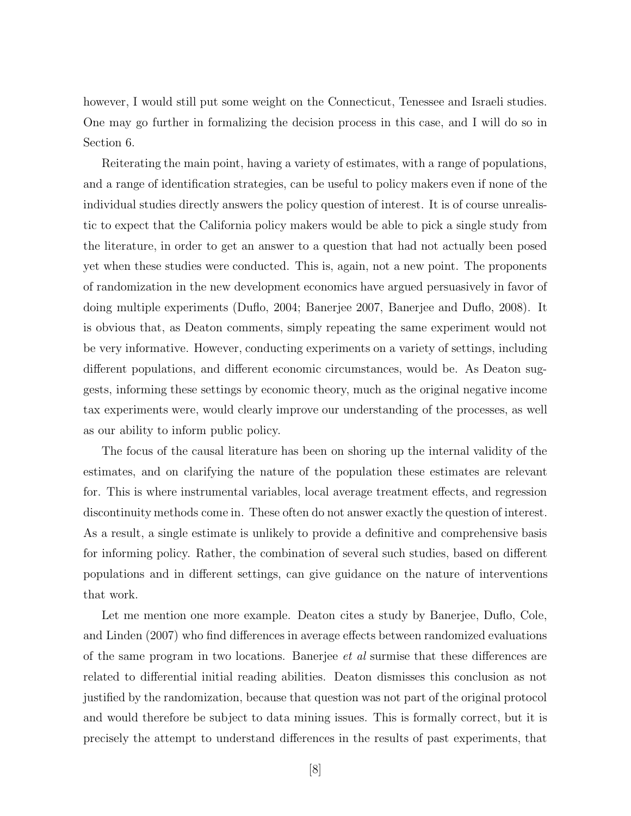however, I would still put some weight on the Connecticut, Tenessee and Israeli studies. One may go further in formalizing the decision process in this case, and I will do so in Section 6.

Reiterating the main point, having a variety of estimates, with a range of populations, and a range of identification strategies, can be useful to policy makers even if none of the individual studies directly answers the policy question of interest. It is of course unrealistic to expect that the California policy makers would be able to pick a single study from the literature, in order to get an answer to a question that had not actually been posed yet when these studies were conducted. This is, again, not a new point. The proponents of randomization in the new development economics have argued persuasively in favor of doing multiple experiments (Duflo, 2004; Banerjee 2007, Banerjee and Duflo, 2008). It is obvious that, as Deaton comments, simply repeating the same experiment would not be very informative. However, conducting experiments on a variety of settings, including different populations, and different economic circumstances, would be. As Deaton suggests, informing these settings by economic theory, much as the original negative income tax experiments were, would clearly improve our understanding of the processes, as well as our ability to inform public policy.

The focus of the causal literature has been on shoring up the internal validity of the estimates, and on clarifying the nature of the population these estimates are relevant for. This is where instrumental variables, local average treatment effects, and regression discontinuity methods come in. These often do not answer exactly the question of interest. As a result, a single estimate is unlikely to provide a definitive and comprehensive basis for informing policy. Rather, the combination of several such studies, based on different populations and in different settings, can give guidance on the nature of interventions that work.

Let me mention one more example. Deaton cites a study by Banerjee, Duflo, Cole, and Linden (2007) who find differences in average effects between randomized evaluations of the same program in two locations. Banerjee et al surmise that these differences are related to differential initial reading abilities. Deaton dismisses this conclusion as not justified by the randomization, because that question was not part of the original protocol and would therefore be subject to data mining issues. This is formally correct, but it is precisely the attempt to understand differences in the results of past experiments, that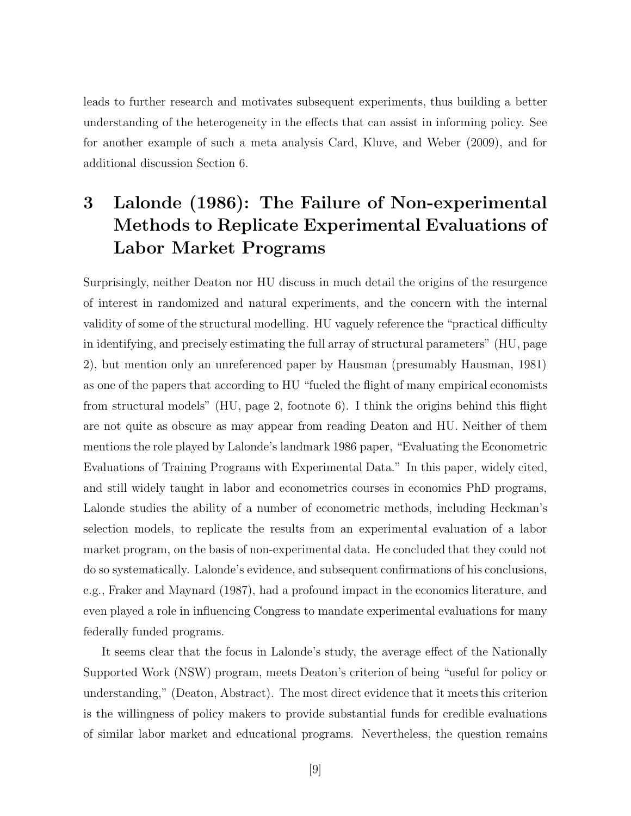leads to further research and motivates subsequent experiments, thus building a better understanding of the heterogeneity in the effects that can assist in informing policy. See for another example of such a meta analysis Card, Kluve, and Weber (2009), and for additional discussion Section 6.

## 3 Lalonde (1986): The Failure of Non-experimental Methods to Replicate Experimental Evaluations of Labor Market Programs

Surprisingly, neither Deaton nor HU discuss in much detail the origins of the resurgence of interest in randomized and natural experiments, and the concern with the internal validity of some of the structural modelling. HU vaguely reference the "practical difficulty in identifying, and precisely estimating the full array of structural parameters" (HU, page 2), but mention only an unreferenced paper by Hausman (presumably Hausman, 1981) as one of the papers that according to HU "fueled the flight of many empirical economists from structural models" (HU, page 2, footnote 6). I think the origins behind this flight are not quite as obscure as may appear from reading Deaton and HU. Neither of them mentions the role played by Lalonde's landmark 1986 paper, "Evaluating the Econometric Evaluations of Training Programs with Experimental Data." In this paper, widely cited, and still widely taught in labor and econometrics courses in economics PhD programs, Lalonde studies the ability of a number of econometric methods, including Heckman's selection models, to replicate the results from an experimental evaluation of a labor market program, on the basis of non-experimental data. He concluded that they could not do so systematically. Lalonde's evidence, and subsequent confirmations of his conclusions, e.g., Fraker and Maynard (1987), had a profound impact in the economics literature, and even played a role in influencing Congress to mandate experimental evaluations for many federally funded programs.

It seems clear that the focus in Lalonde's study, the average effect of the Nationally Supported Work (NSW) program, meets Deaton's criterion of being "useful for policy or understanding," (Deaton, Abstract). The most direct evidence that it meets this criterion is the willingness of policy makers to provide substantial funds for credible evaluations of similar labor market and educational programs. Nevertheless, the question remains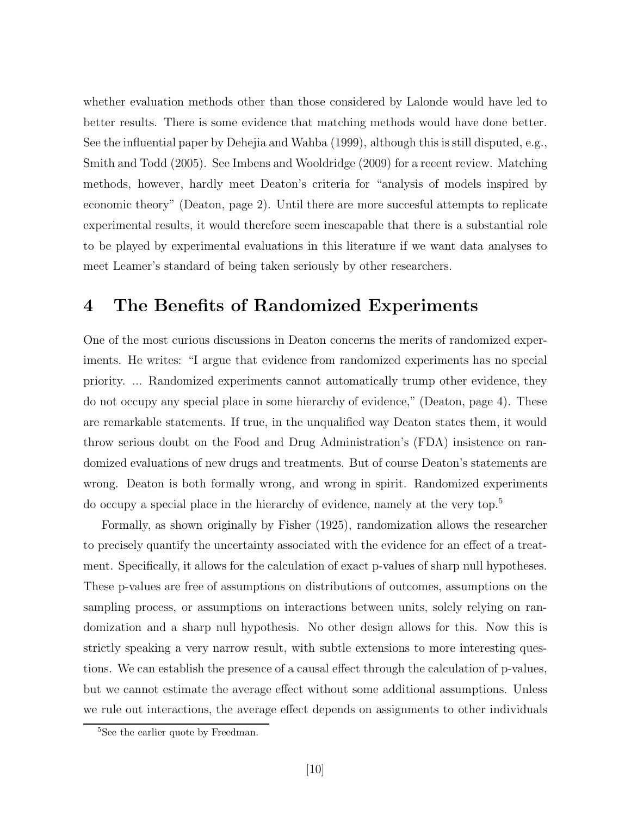whether evaluation methods other than those considered by Lalonde would have led to better results. There is some evidence that matching methods would have done better. See the influential paper by Dehejia and Wahba (1999), although this is still disputed, e.g., Smith and Todd (2005). See Imbens and Wooldridge (2009) for a recent review. Matching methods, however, hardly meet Deaton's criteria for "analysis of models inspired by economic theory" (Deaton, page 2). Until there are more succesful attempts to replicate experimental results, it would therefore seem inescapable that there is a substantial role to be played by experimental evaluations in this literature if we want data analyses to meet Leamer's standard of being taken seriously by other researchers.

### 4 The Benefits of Randomized Experiments

One of the most curious discussions in Deaton concerns the merits of randomized experiments. He writes: "I argue that evidence from randomized experiments has no special priority. ... Randomized experiments cannot automatically trump other evidence, they do not occupy any special place in some hierarchy of evidence," (Deaton, page 4). These are remarkable statements. If true, in the unqualified way Deaton states them, it would throw serious doubt on the Food and Drug Administration's (FDA) insistence on randomized evaluations of new drugs and treatments. But of course Deaton's statements are wrong. Deaton is both formally wrong, and wrong in spirit. Randomized experiments do occupy a special place in the hierarchy of evidence, namely at the very top.<sup>5</sup>

Formally, as shown originally by Fisher (1925), randomization allows the researcher to precisely quantify the uncertainty associated with the evidence for an effect of a treatment. Specifically, it allows for the calculation of exact p-values of sharp null hypotheses. These p-values are free of assumptions on distributions of outcomes, assumptions on the sampling process, or assumptions on interactions between units, solely relying on randomization and a sharp null hypothesis. No other design allows for this. Now this is strictly speaking a very narrow result, with subtle extensions to more interesting questions. We can establish the presence of a causal effect through the calculation of p-values, but we cannot estimate the average effect without some additional assumptions. Unless we rule out interactions, the average effect depends on assignments to other individuals

<sup>&</sup>lt;sup>5</sup>See the earlier quote by Freedman.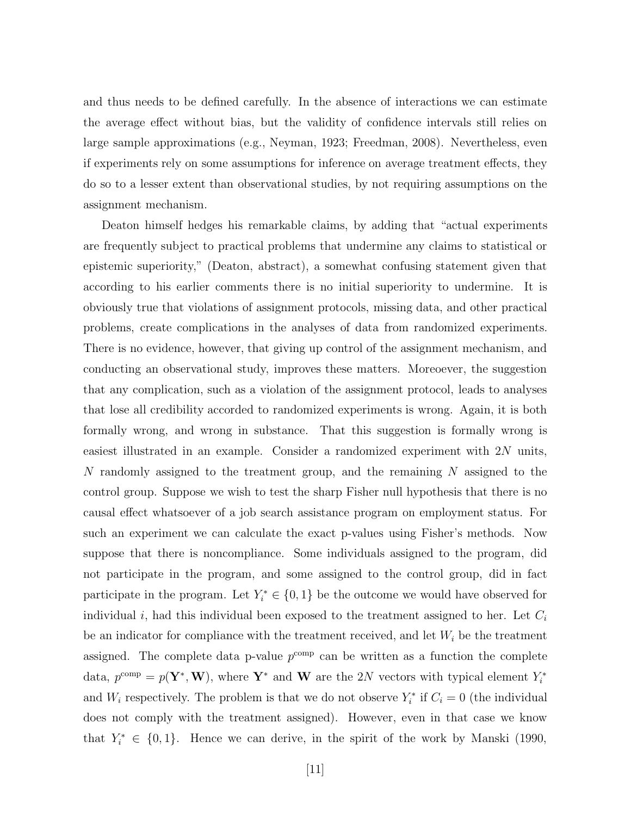and thus needs to be defined carefully. In the absence of interactions we can estimate the average effect without bias, but the validity of confidence intervals still relies on large sample approximations (e.g., Neyman, 1923; Freedman, 2008). Nevertheless, even if experiments rely on some assumptions for inference on average treatment effects, they do so to a lesser extent than observational studies, by not requiring assumptions on the assignment mechanism.

Deaton himself hedges his remarkable claims, by adding that "actual experiments are frequently subject to practical problems that undermine any claims to statistical or epistemic superiority," (Deaton, abstract), a somewhat confusing statement given that according to his earlier comments there is no initial superiority to undermine. It is obviously true that violations of assignment protocols, missing data, and other practical problems, create complications in the analyses of data from randomized experiments. There is no evidence, however, that giving up control of the assignment mechanism, and conducting an observational study, improves these matters. Moreoever, the suggestion that any complication, such as a violation of the assignment protocol, leads to analyses that lose all credibility accorded to randomized experiments is wrong. Again, it is both formally wrong, and wrong in substance. That this suggestion is formally wrong is easiest illustrated in an example. Consider a randomized experiment with 2N units, N randomly assigned to the treatment group, and the remaining  $N$  assigned to the control group. Suppose we wish to test the sharp Fisher null hypothesis that there is no causal effect whatsoever of a job search assistance program on employment status. For such an experiment we can calculate the exact p-values using Fisher's methods. Now suppose that there is noncompliance. Some individuals assigned to the program, did not participate in the program, and some assigned to the control group, did in fact participate in the program. Let  $Y_i^* \in \{0,1\}$  be the outcome we would have observed for individual  $i$ , had this individual been exposed to the treatment assigned to her. Let  $C_i$ be an indicator for compliance with the treatment received, and let  $W_i$  be the treatment assigned. The complete data p-value  $p^{\text{comp}}$  can be written as a function the complete data,  $p^{\text{comp}} = p(\mathbf{Y}^*, \mathbf{W})$ , where  $\mathbf{Y}^*$  and  $\mathbf{W}$  are the 2N vectors with typical element  $Y_i^*$ and  $W_i$  respectively. The problem is that we do not observe  $Y_i^*$  if  $C_i = 0$  (the individual does not comply with the treatment assigned). However, even in that case we know that  $Y_i^* \in \{0, 1\}$ . Hence we can derive, in the spirit of the work by Manski (1990,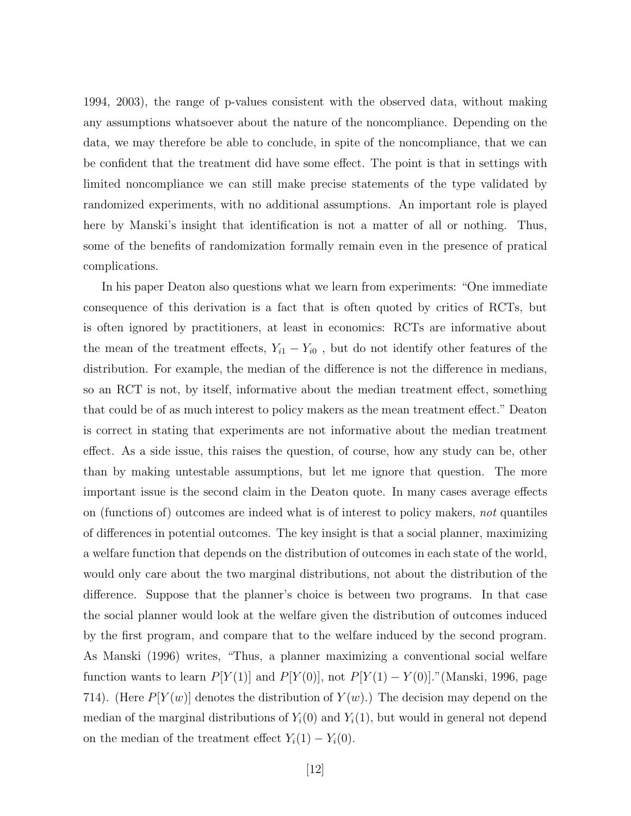1994, 2003), the range of p-values consistent with the observed data, without making any assumptions whatsoever about the nature of the noncompliance. Depending on the data, we may therefore be able to conclude, in spite of the noncompliance, that we can be confident that the treatment did have some effect. The point is that in settings with limited noncompliance we can still make precise statements of the type validated by randomized experiments, with no additional assumptions. An important role is played here by Manski's insight that identification is not a matter of all or nothing. Thus, some of the benefits of randomization formally remain even in the presence of pratical complications.

In his paper Deaton also questions what we learn from experiments: "One immediate consequence of this derivation is a fact that is often quoted by critics of RCTs, but is often ignored by practitioners, at least in economics: RCTs are informative about the mean of the treatment effects,  $Y_{i1} - Y_{i0}$ , but do not identify other features of the distribution. For example, the median of the difference is not the difference in medians, so an RCT is not, by itself, informative about the median treatment effect, something that could be of as much interest to policy makers as the mean treatment effect." Deaton is correct in stating that experiments are not informative about the median treatment effect. As a side issue, this raises the question, of course, how any study can be, other than by making untestable assumptions, but let me ignore that question. The more important issue is the second claim in the Deaton quote. In many cases average effects on (functions of) outcomes are indeed what is of interest to policy makers, not quantiles of differences in potential outcomes. The key insight is that a social planner, maximizing a welfare function that depends on the distribution of outcomes in each state of the world, would only care about the two marginal distributions, not about the distribution of the difference. Suppose that the planner's choice is between two programs. In that case the social planner would look at the welfare given the distribution of outcomes induced by the first program, and compare that to the welfare induced by the second program. As Manski (1996) writes, "Thus, a planner maximizing a conventional social welfare function wants to learn  $P[Y(1)]$  and  $P[Y(0)]$ , not  $P[Y(1) - Y(0)]$ ."(Manski, 1996, page 714). (Here  $P[Y(w)]$  denotes the distribution of  $Y(w)$ .) The decision may depend on the median of the marginal distributions of  $Y_i(0)$  and  $Y_i(1)$ , but would in general not depend on the median of the treatment effect  $Y_i(1) - Y_i(0)$ .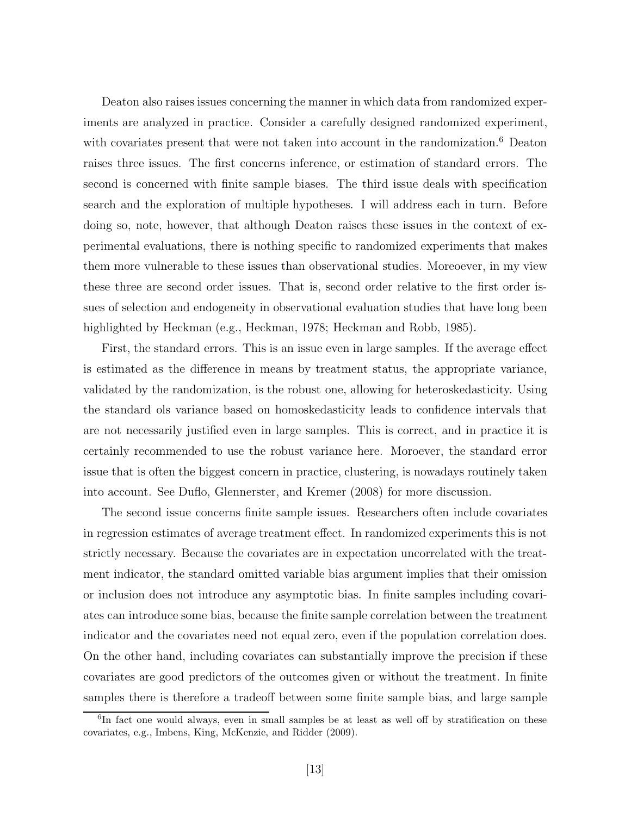Deaton also raises issues concerning the manner in which data from randomized experiments are analyzed in practice. Consider a carefully designed randomized experiment, with covariates present that were not taken into account in the randomization.<sup>6</sup> Deaton raises three issues. The first concerns inference, or estimation of standard errors. The second is concerned with finite sample biases. The third issue deals with specification search and the exploration of multiple hypotheses. I will address each in turn. Before doing so, note, however, that although Deaton raises these issues in the context of experimental evaluations, there is nothing specific to randomized experiments that makes them more vulnerable to these issues than observational studies. Moreoever, in my view these three are second order issues. That is, second order relative to the first order issues of selection and endogeneity in observational evaluation studies that have long been highlighted by Heckman (e.g., Heckman, 1978; Heckman and Robb, 1985).

First, the standard errors. This is an issue even in large samples. If the average effect is estimated as the difference in means by treatment status, the appropriate variance, validated by the randomization, is the robust one, allowing for heteroskedasticity. Using the standard ols variance based on homoskedasticity leads to confidence intervals that are not necessarily justified even in large samples. This is correct, and in practice it is certainly recommended to use the robust variance here. Moroever, the standard error issue that is often the biggest concern in practice, clustering, is nowadays routinely taken into account. See Duflo, Glennerster, and Kremer (2008) for more discussion.

The second issue concerns finite sample issues. Researchers often include covariates in regression estimates of average treatment effect. In randomized experiments this is not strictly necessary. Because the covariates are in expectation uncorrelated with the treatment indicator, the standard omitted variable bias argument implies that their omission or inclusion does not introduce any asymptotic bias. In finite samples including covariates can introduce some bias, because the finite sample correlation between the treatment indicator and the covariates need not equal zero, even if the population correlation does. On the other hand, including covariates can substantially improve the precision if these covariates are good predictors of the outcomes given or without the treatment. In finite samples there is therefore a tradeoff between some finite sample bias, and large sample

<sup>&</sup>lt;sup>6</sup>In fact one would always, even in small samples be at least as well off by stratification on these covariates, e.g., Imbens, King, McKenzie, and Ridder (2009).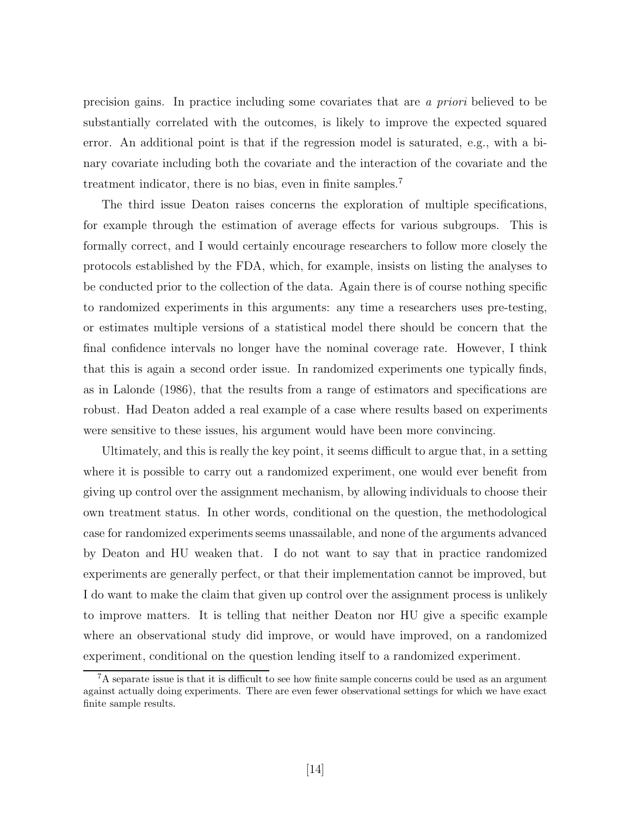precision gains. In practice including some covariates that are a priori believed to be substantially correlated with the outcomes, is likely to improve the expected squared error. An additional point is that if the regression model is saturated, e.g., with a binary covariate including both the covariate and the interaction of the covariate and the treatment indicator, there is no bias, even in finite samples. 7

The third issue Deaton raises concerns the exploration of multiple specifications, for example through the estimation of average effects for various subgroups. This is formally correct, and I would certainly encourage researchers to follow more closely the protocols established by the FDA, which, for example, insists on listing the analyses to be conducted prior to the collection of the data. Again there is of course nothing specific to randomized experiments in this arguments: any time a researchers uses pre-testing, or estimates multiple versions of a statistical model there should be concern that the final confidence intervals no longer have the nominal coverage rate. However, I think that this is again a second order issue. In randomized experiments one typically finds, as in Lalonde (1986), that the results from a range of estimators and specifications are robust. Had Deaton added a real example of a case where results based on experiments were sensitive to these issues, his argument would have been more convincing.

Ultimately, and this is really the key point, it seems difficult to argue that, in a setting where it is possible to carry out a randomized experiment, one would ever benefit from giving up control over the assignment mechanism, by allowing individuals to choose their own treatment status. In other words, conditional on the question, the methodological case for randomized experiments seems unassailable, and none of the arguments advanced by Deaton and HU weaken that. I do not want to say that in practice randomized experiments are generally perfect, or that their implementation cannot be improved, but I do want to make the claim that given up control over the assignment process is unlikely to improve matters. It is telling that neither Deaton nor HU give a specific example where an observational study did improve, or would have improved, on a randomized experiment, conditional on the question lending itself to a randomized experiment.

<sup>7</sup>A separate issue is that it is difficult to see how finite sample concerns could be used as an argument against actually doing experiments. There are even fewer observational settings for which we have exact finite sample results.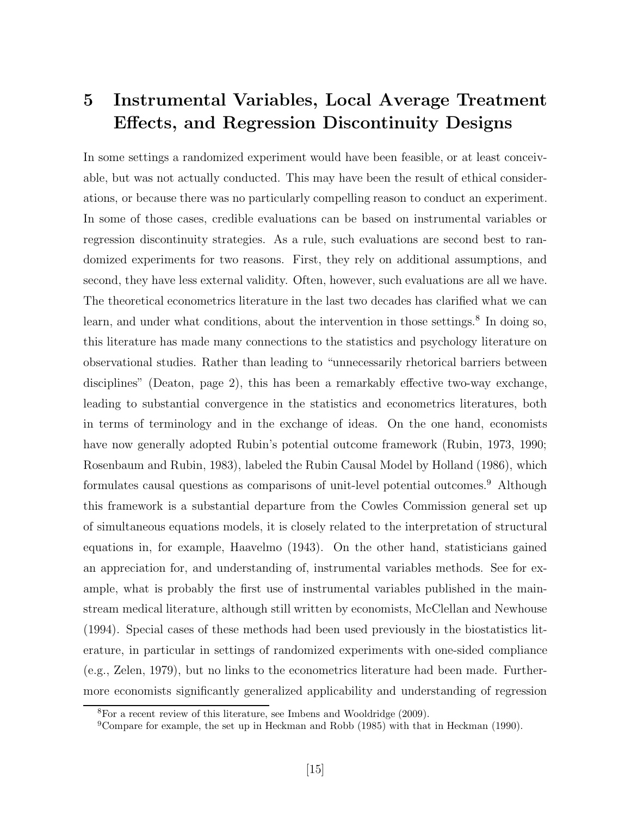## 5 Instrumental Variables, Local Average Treatment Effects, and Regression Discontinuity Designs

In some settings a randomized experiment would have been feasible, or at least conceivable, but was not actually conducted. This may have been the result of ethical considerations, or because there was no particularly compelling reason to conduct an experiment. In some of those cases, credible evaluations can be based on instrumental variables or regression discontinuity strategies. As a rule, such evaluations are second best to randomized experiments for two reasons. First, they rely on additional assumptions, and second, they have less external validity. Often, however, such evaluations are all we have. The theoretical econometrics literature in the last two decades has clarified what we can learn, and under what conditions, about the intervention in those settings.<sup>8</sup> In doing so, this literature has made many connections to the statistics and psychology literature on observational studies. Rather than leading to "unnecessarily rhetorical barriers between disciplines" (Deaton, page 2), this has been a remarkably effective two-way exchange, leading to substantial convergence in the statistics and econometrics literatures, both in terms of terminology and in the exchange of ideas. On the one hand, economists have now generally adopted Rubin's potential outcome framework (Rubin, 1973, 1990; Rosenbaum and Rubin, 1983), labeled the Rubin Causal Model by Holland (1986), which formulates causal questions as comparisons of unit-level potential outcomes.<sup>9</sup> Although this framework is a substantial departure from the Cowles Commission general set up of simultaneous equations models, it is closely related to the interpretation of structural equations in, for example, Haavelmo (1943). On the other hand, statisticians gained an appreciation for, and understanding of, instrumental variables methods. See for example, what is probably the first use of instrumental variables published in the mainstream medical literature, although still written by economists, McClellan and Newhouse (1994). Special cases of these methods had been used previously in the biostatistics literature, in particular in settings of randomized experiments with one-sided compliance (e.g., Zelen, 1979), but no links to the econometrics literature had been made. Furthermore economists significantly generalized applicability and understanding of regression

 ${}^{8}$ For a recent review of this literature, see Imbens and Wooldridge (2009).

<sup>&</sup>lt;sup>9</sup>Compare for example, the set up in Heckman and Robb (1985) with that in Heckman (1990).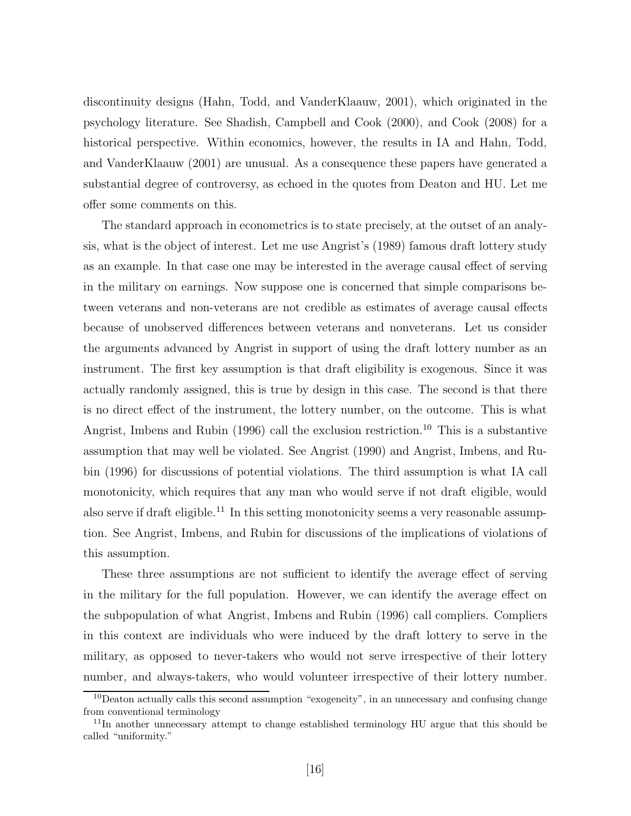discontinuity designs (Hahn, Todd, and VanderKlaauw, 2001), which originated in the psychology literature. See Shadish, Campbell and Cook (2000), and Cook (2008) for a historical perspective. Within economics, however, the results in IA and Hahn, Todd, and VanderKlaauw (2001) are unusual. As a consequence these papers have generated a substantial degree of controversy, as echoed in the quotes from Deaton and HU. Let me offer some comments on this.

The standard approach in econometrics is to state precisely, at the outset of an analysis, what is the object of interest. Let me use Angrist's (1989) famous draft lottery study as an example. In that case one may be interested in the average causal effect of serving in the military on earnings. Now suppose one is concerned that simple comparisons between veterans and non-veterans are not credible as estimates of average causal effects because of unobserved differences between veterans and nonveterans. Let us consider the arguments advanced by Angrist in support of using the draft lottery number as an instrument. The first key assumption is that draft eligibility is exogenous. Since it was actually randomly assigned, this is true by design in this case. The second is that there is no direct effect of the instrument, the lottery number, on the outcome. This is what Angrist, Imbens and Rubin (1996) call the exclusion restriction.<sup>10</sup> This is a substantive assumption that may well be violated. See Angrist (1990) and Angrist, Imbens, and Rubin (1996) for discussions of potential violations. The third assumption is what IA call monotonicity, which requires that any man who would serve if not draft eligible, would also serve if draft eligible.<sup>11</sup> In this setting monotonicity seems a very reasonable assumption. See Angrist, Imbens, and Rubin for discussions of the implications of violations of this assumption.

These three assumptions are not sufficient to identify the average effect of serving in the military for the full population. However, we can identify the average effect on the subpopulation of what Angrist, Imbens and Rubin (1996) call compliers. Compliers in this context are individuals who were induced by the draft lottery to serve in the military, as opposed to never-takers who would not serve irrespective of their lottery number, and always-takers, who would volunteer irrespective of their lottery number.

 $10D$ eaton actually calls this second assumption "exogeneity", in an unnecessary and confusing change from conventional terminology

<sup>&</sup>lt;sup>11</sup>In another unnecessary attempt to change established terminology HU argue that this should be called "uniformity."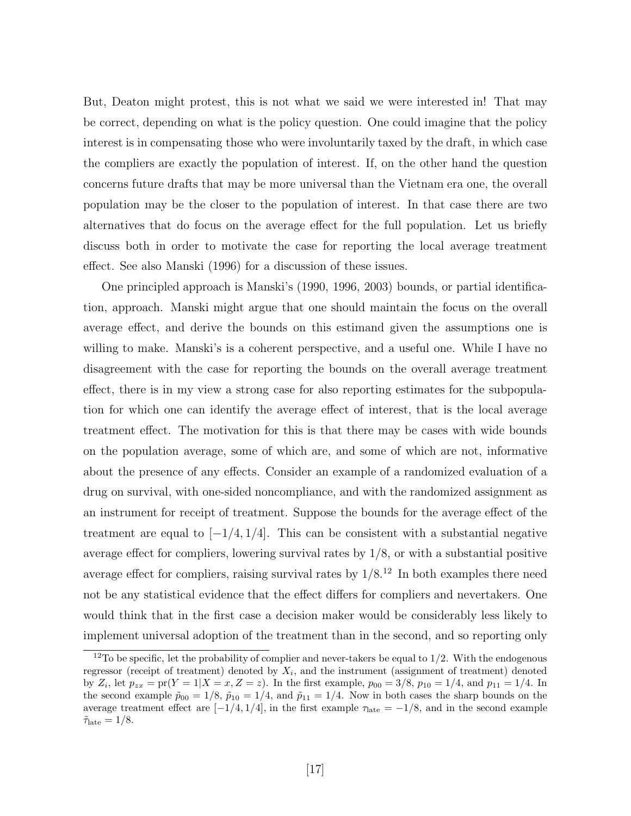But, Deaton might protest, this is not what we said we were interested in! That may be correct, depending on what is the policy question. One could imagine that the policy interest is in compensating those who were involuntarily taxed by the draft, in which case the compliers are exactly the population of interest. If, on the other hand the question concerns future drafts that may be more universal than the Vietnam era one, the overall population may be the closer to the population of interest. In that case there are two alternatives that do focus on the average effect for the full population. Let us briefly discuss both in order to motivate the case for reporting the local average treatment effect. See also Manski (1996) for a discussion of these issues.

One principled approach is Manski's (1990, 1996, 2003) bounds, or partial identification, approach. Manski might argue that one should maintain the focus on the overall average effect, and derive the bounds on this estimand given the assumptions one is willing to make. Manski's is a coherent perspective, and a useful one. While I have no disagreement with the case for reporting the bounds on the overall average treatment effect, there is in my view a strong case for also reporting estimates for the subpopulation for which one can identify the average effect of interest, that is the local average treatment effect. The motivation for this is that there may be cases with wide bounds on the population average, some of which are, and some of which are not, informative about the presence of any effects. Consider an example of a randomized evaluation of a drug on survival, with one-sided noncompliance, and with the randomized assignment as an instrument for receipt of treatment. Suppose the bounds for the average effect of the treatment are equal to  $[-1/4, 1/4]$ . This can be consistent with a substantial negative average effect for compliers, lowering survival rates by 1/8, or with a substantial positive average effect for compliers, raising survival rates by  $1/8^{12}$  In both examples there need not be any statistical evidence that the effect differs for compliers and nevertakers. One would think that in the first case a decision maker would be considerably less likely to implement universal adoption of the treatment than in the second, and so reporting only

<sup>&</sup>lt;sup>12</sup>To be specific, let the probability of complier and never-takers be equal to  $1/2$ . With the endogenous regressor (receipt of treatment) denoted by  $X_i$ , and the instrument (assignment of treatment) denoted by  $Z_i$ , let  $p_{zx} = \text{pr}(Y = 1 | X = x, Z = z)$ . In the first example,  $p_{00} = 3/8$ ,  $p_{10} = 1/4$ , and  $p_{11} = 1/4$ . In the second example  $\tilde{p}_{00} = 1/8$ ,  $\tilde{p}_{10} = 1/4$ , and  $\tilde{p}_{11} = 1/4$ . Now in both cases the sharp bounds on the average treatment effect are  $[-1/4, 1/4]$ , in the first example  $\tau_{\text{late}} = -1/8$ , and in the second example  $\tilde{\tau}_{\text{late}} = 1/8.$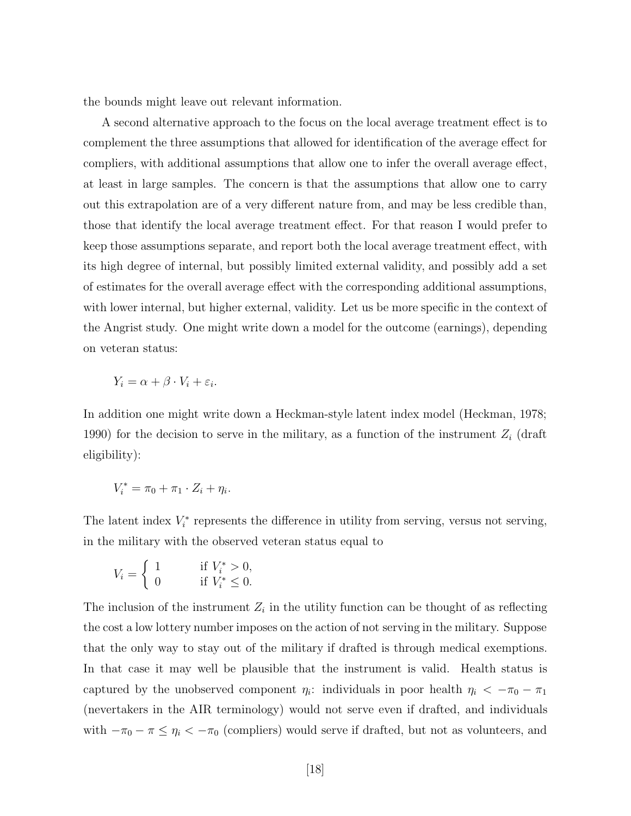the bounds might leave out relevant information.

A second alternative approach to the focus on the local average treatment effect is to complement the three assumptions that allowed for identification of the average effect for compliers, with additional assumptions that allow one to infer the overall average effect, at least in large samples. The concern is that the assumptions that allow one to carry out this extrapolation are of a very different nature from, and may be less credible than, those that identify the local average treatment effect. For that reason I would prefer to keep those assumptions separate, and report both the local average treatment effect, with its high degree of internal, but possibly limited external validity, and possibly add a set of estimates for the overall average effect with the corresponding additional assumptions, with lower internal, but higher external, validity. Let us be more specific in the context of the Angrist study. One might write down a model for the outcome (earnings), depending on veteran status:

$$
Y_i = \alpha + \beta \cdot V_i + \varepsilon_i.
$$

In addition one might write down a Heckman-style latent index model (Heckman, 1978; 1990) for the decision to serve in the military, as a function of the instrument  $Z_i$  (draft eligibility):

$$
V_i^* = \pi_0 + \pi_1 \cdot Z_i + \eta_i.
$$

The latent index  $V_i^*$  represents the difference in utility from serving, versus not serving, in the military with the observed veteran status equal to

$$
V_i = \begin{cases} 1 & \text{if } V_i^* > 0, \\ 0 & \text{if } V_i^* \le 0. \end{cases}
$$

The inclusion of the instrument  $Z_i$  in the utility function can be thought of as reflecting the cost a low lottery number imposes on the action of not serving in the military. Suppose that the only way to stay out of the military if drafted is through medical exemptions. In that case it may well be plausible that the instrument is valid. Health status is captured by the unobserved component  $\eta_i$ : individuals in poor health  $\eta_i < -\pi_0 - \pi_1$ (nevertakers in the AIR terminology) would not serve even if drafted, and individuals with  $-\pi_0 - \pi \leq \eta_i < -\pi_0$  (compliers) would serve if drafted, but not as volunteers, and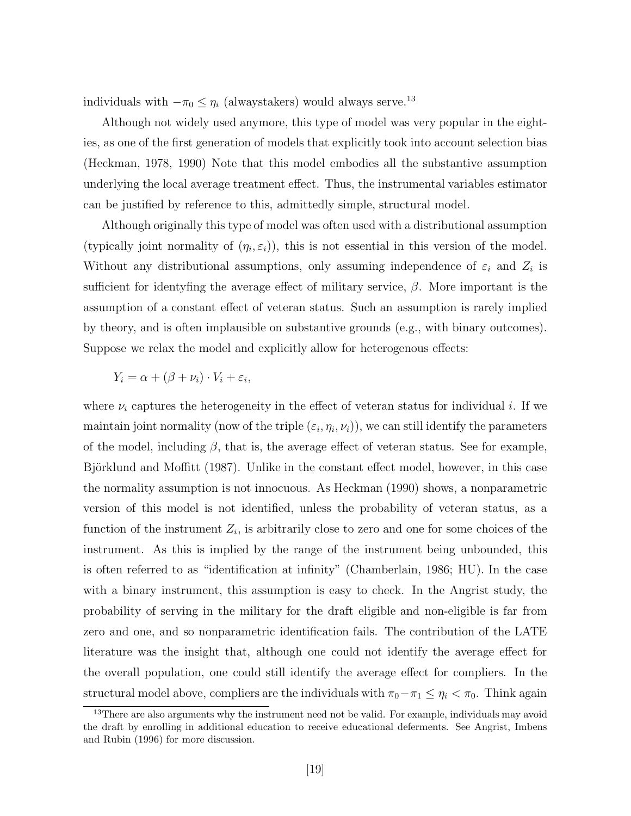individuals with  $-\pi_0 \leq \eta_i$  (alwaystakers) would always serve.<sup>13</sup>

Although not widely used anymore, this type of model was very popular in the eighties, as one of the first generation of models that explicitly took into account selection bias (Heckman, 1978, 1990) Note that this model embodies all the substantive assumption underlying the local average treatment effect. Thus, the instrumental variables estimator can be justified by reference to this, admittedly simple, structural model.

Although originally this type of model was often used with a distributional assumption (typically joint normality of  $(\eta_i, \varepsilon_i)$ ), this is not essential in this version of the model. Without any distributional assumptions, only assuming independence of  $\varepsilon_i$  and  $Z_i$  is sufficient for identyfing the average effect of military service,  $\beta$ . More important is the assumption of a constant effect of veteran status. Such an assumption is rarely implied by theory, and is often implausible on substantive grounds (e.g., with binary outcomes). Suppose we relax the model and explicitly allow for heterogenous effects:

$$
Y_i = \alpha + (\beta + \nu_i) \cdot V_i + \varepsilon_i,
$$

where  $\nu_i$  captures the heterogeneity in the effect of veteran status for individual i. If we maintain joint normality (now of the triple  $(\varepsilon_i, \eta_i, \nu_i)$ ), we can still identify the parameters of the model, including  $\beta$ , that is, the average effect of veteran status. See for example, Björklund and Moffitt (1987). Unlike in the constant effect model, however, in this case the normality assumption is not innocuous. As Heckman (1990) shows, a nonparametric version of this model is not identified, unless the probability of veteran status, as a function of the instrument  $Z_i$ , is arbitrarily close to zero and one for some choices of the instrument. As this is implied by the range of the instrument being unbounded, this is often referred to as "identification at infinity" (Chamberlain, 1986; HU). In the case with a binary instrument, this assumption is easy to check. In the Angrist study, the probability of serving in the military for the draft eligible and non-eligible is far from zero and one, and so nonparametric identification fails. The contribution of the LATE literature was the insight that, although one could not identify the average effect for the overall population, one could still identify the average effect for compliers. In the structural model above, compliers are the individuals with  $\pi_0 - \pi_1 \leq \eta_i < \pi_0$ . Think again

<sup>&</sup>lt;sup>13</sup>There are also arguments why the instrument need not be valid. For example, individuals may avoid the draft by enrolling in additional education to receive educational deferments. See Angrist, Imbens and Rubin (1996) for more discussion.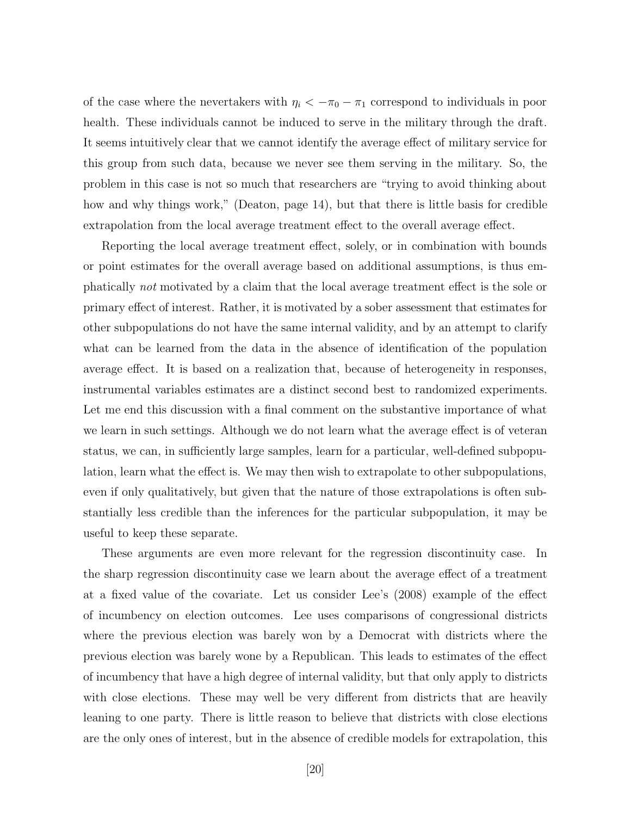of the case where the nevertakers with  $\eta_i < -\pi_0 - \pi_1$  correspond to individuals in poor health. These individuals cannot be induced to serve in the military through the draft. It seems intuitively clear that we cannot identify the average effect of military service for this group from such data, because we never see them serving in the military. So, the problem in this case is not so much that researchers are "trying to avoid thinking about how and why things work," (Deaton, page 14), but that there is little basis for credible extrapolation from the local average treatment effect to the overall average effect.

Reporting the local average treatment effect, solely, or in combination with bounds or point estimates for the overall average based on additional assumptions, is thus emphatically not motivated by a claim that the local average treatment effect is the sole or primary effect of interest. Rather, it is motivated by a sober assessment that estimates for other subpopulations do not have the same internal validity, and by an attempt to clarify what can be learned from the data in the absence of identification of the population average effect. It is based on a realization that, because of heterogeneity in responses, instrumental variables estimates are a distinct second best to randomized experiments. Let me end this discussion with a final comment on the substantive importance of what we learn in such settings. Although we do not learn what the average effect is of veteran status, we can, in sufficiently large samples, learn for a particular, well-defined subpopulation, learn what the effect is. We may then wish to extrapolate to other subpopulations, even if only qualitatively, but given that the nature of those extrapolations is often substantially less credible than the inferences for the particular subpopulation, it may be useful to keep these separate.

These arguments are even more relevant for the regression discontinuity case. In the sharp regression discontinuity case we learn about the average effect of a treatment at a fixed value of the covariate. Let us consider Lee's (2008) example of the effect of incumbency on election outcomes. Lee uses comparisons of congressional districts where the previous election was barely won by a Democrat with districts where the previous election was barely wone by a Republican. This leads to estimates of the effect of incumbency that have a high degree of internal validity, but that only apply to districts with close elections. These may well be very different from districts that are heavily leaning to one party. There is little reason to believe that districts with close elections are the only ones of interest, but in the absence of credible models for extrapolation, this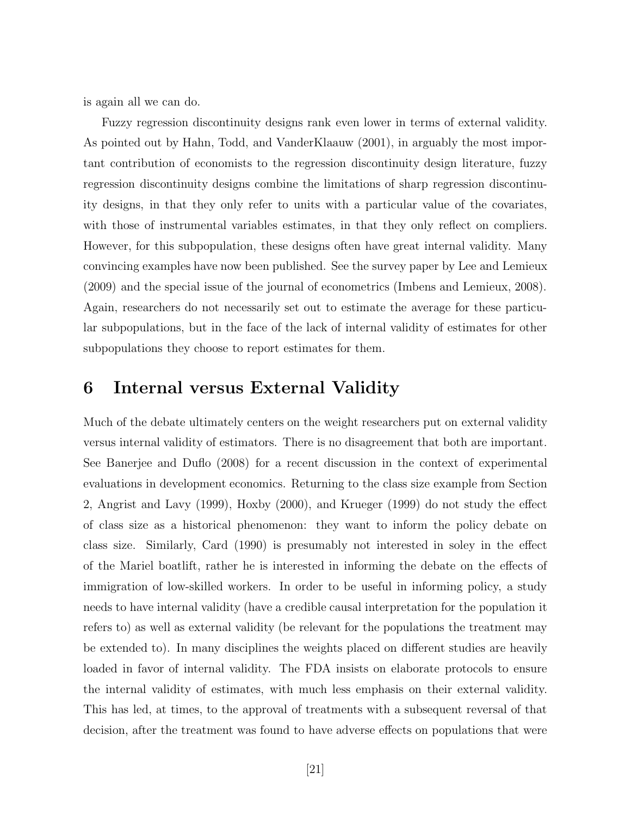is again all we can do.

Fuzzy regression discontinuity designs rank even lower in terms of external validity. As pointed out by Hahn, Todd, and VanderKlaauw (2001), in arguably the most important contribution of economists to the regression discontinuity design literature, fuzzy regression discontinuity designs combine the limitations of sharp regression discontinuity designs, in that they only refer to units with a particular value of the covariates, with those of instrumental variables estimates, in that they only reflect on compliers. However, for this subpopulation, these designs often have great internal validity. Many convincing examples have now been published. See the survey paper by Lee and Lemieux (2009) and the special issue of the journal of econometrics (Imbens and Lemieux, 2008). Again, researchers do not necessarily set out to estimate the average for these particular subpopulations, but in the face of the lack of internal validity of estimates for other subpopulations they choose to report estimates for them.

### 6 Internal versus External Validity

Much of the debate ultimately centers on the weight researchers put on external validity versus internal validity of estimators. There is no disagreement that both are important. See Banerjee and Duflo (2008) for a recent discussion in the context of experimental evaluations in development economics. Returning to the class size example from Section 2, Angrist and Lavy (1999), Hoxby (2000), and Krueger (1999) do not study the effect of class size as a historical phenomenon: they want to inform the policy debate on class size. Similarly, Card (1990) is presumably not interested in soley in the effect of the Mariel boatlift, rather he is interested in informing the debate on the effects of immigration of low-skilled workers. In order to be useful in informing policy, a study needs to have internal validity (have a credible causal interpretation for the population it refers to) as well as external validity (be relevant for the populations the treatment may be extended to). In many disciplines the weights placed on different studies are heavily loaded in favor of internal validity. The FDA insists on elaborate protocols to ensure the internal validity of estimates, with much less emphasis on their external validity. This has led, at times, to the approval of treatments with a subsequent reversal of that decision, after the treatment was found to have adverse effects on populations that were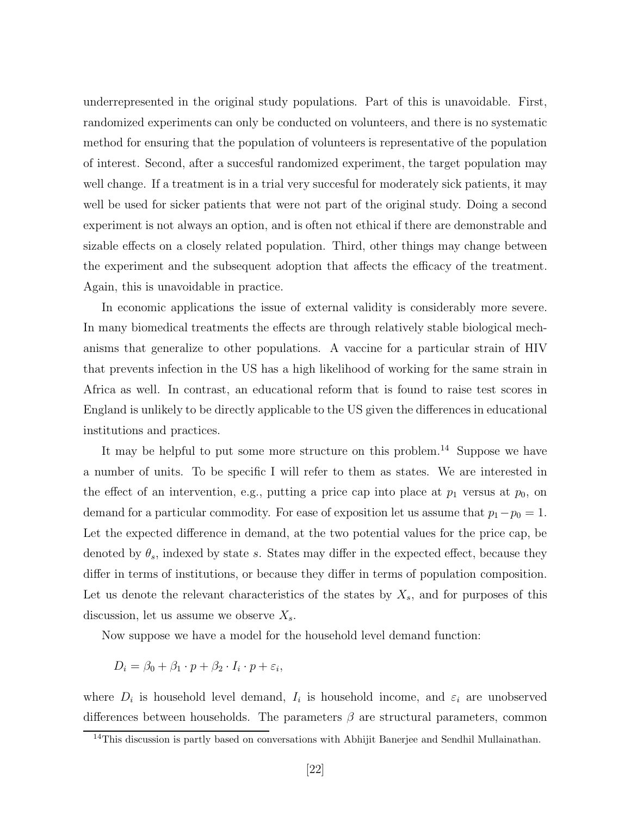underrepresented in the original study populations. Part of this is unavoidable. First, randomized experiments can only be conducted on volunteers, and there is no systematic method for ensuring that the population of volunteers is representative of the population of interest. Second, after a succesful randomized experiment, the target population may well change. If a treatment is in a trial very succesful for moderately sick patients, it may well be used for sicker patients that were not part of the original study. Doing a second experiment is not always an option, and is often not ethical if there are demonstrable and sizable effects on a closely related population. Third, other things may change between the experiment and the subsequent adoption that affects the efficacy of the treatment. Again, this is unavoidable in practice.

In economic applications the issue of external validity is considerably more severe. In many biomedical treatments the effects are through relatively stable biological mechanisms that generalize to other populations. A vaccine for a particular strain of HIV that prevents infection in the US has a high likelihood of working for the same strain in Africa as well. In contrast, an educational reform that is found to raise test scores in England is unlikely to be directly applicable to the US given the differences in educational institutions and practices.

It may be helpful to put some more structure on this problem.<sup>14</sup> Suppose we have a number of units. To be specific I will refer to them as states. We are interested in the effect of an intervention, e.g., putting a price cap into place at  $p_1$  versus at  $p_0$ , on demand for a particular commodity. For ease of exposition let us assume that  $p_1-p_0 = 1$ . Let the expected difference in demand, at the two potential values for the price cap, be denoted by  $\theta_s$ , indexed by state s. States may differ in the expected effect, because they differ in terms of institutions, or because they differ in terms of population composition. Let us denote the relevant characteristics of the states by  $X_s$ , and for purposes of this discussion, let us assume we observe  $X_s$ .

Now suppose we have a model for the household level demand function:

$$
D_i = \beta_0 + \beta_1 \cdot p + \beta_2 \cdot I_i \cdot p + \varepsilon_i,
$$

where  $D_i$  is household level demand,  $I_i$  is household income, and  $\varepsilon_i$  are unobserved differences between households. The parameters  $\beta$  are structural parameters, common

 $14$ This discussion is partly based on conversations with Abhijit Banerjee and Sendhil Mullainathan.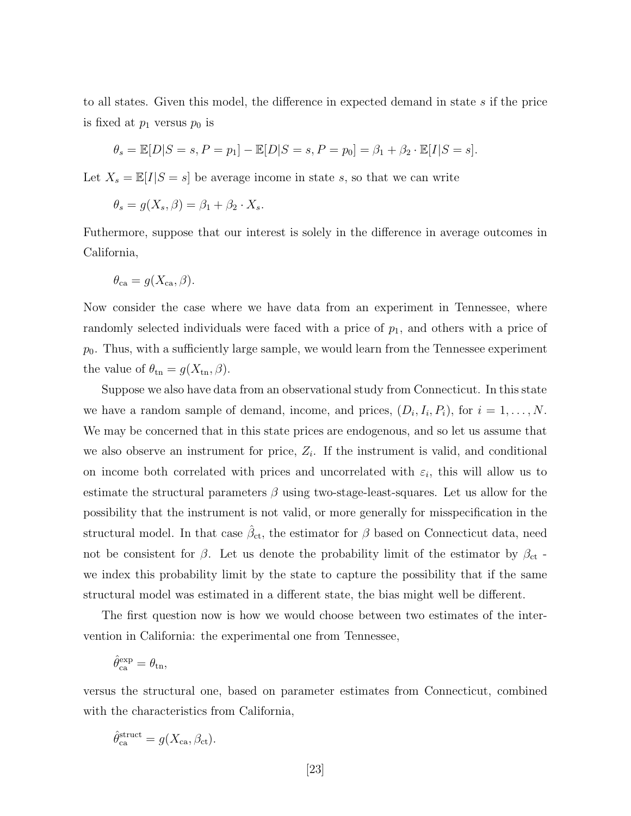to all states. Given this model, the difference in expected demand in state s if the price is fixed at  $p_1$  versus  $p_0$  is

$$
\theta_s = \mathbb{E}[D|S = s, P = p_1] - \mathbb{E}[D|S = s, P = p_0] = \beta_1 + \beta_2 \cdot \mathbb{E}[I|S = s].
$$

Let  $X_s = \mathbb{E}[I|S = s]$  be average income in state s, so that we can write

$$
\theta_s = g(X_s, \beta) = \beta_1 + \beta_2 \cdot X_s.
$$

Futhermore, suppose that our interest is solely in the difference in average outcomes in California,

$$
\theta_{\text{ca}} = g(X_{\text{ca}}, \beta).
$$

Now consider the case where we have data from an experiment in Tennessee, where randomly selected individuals were faced with a price of  $p_1$ , and others with a price of  $p_0$ . Thus, with a sufficiently large sample, we would learn from the Tennessee experiment the value of  $\theta_{\text{tn}} = g(X_{\text{tn}}, \beta)$ .

Suppose we also have data from an observational study from Connecticut. In this state we have a random sample of demand, income, and prices,  $(D_i, I_i, P_i)$ , for  $i = 1, \ldots, N$ . We may be concerned that in this state prices are endogenous, and so let us assume that we also observe an instrument for price,  $Z_i$ . If the instrument is valid, and conditional on income both correlated with prices and uncorrelated with  $\varepsilon_i$ , this will allow us to estimate the structural parameters  $\beta$  using two-stage-least-squares. Let us allow for the possibility that the instrument is not valid, or more generally for misspecification in the structural model. In that case  $\hat{\beta}_{\text{ct}}$ , the estimator for  $\beta$  based on Connecticut data, need not be consistent for  $\beta$ . Let us denote the probability limit of the estimator by  $\beta_{\rm ct}$  we index this probability limit by the state to capture the possibility that if the same structural model was estimated in a different state, the bias might well be different.

The first question now is how we would choose between two estimates of the intervention in California: the experimental one from Tennessee,

$$
\hat{\theta}_{\mathrm{ca}}^{\mathrm{exp}} = \theta_{\mathrm{tn}},
$$

versus the structural one, based on parameter estimates from Connecticut, combined with the characteristics from California,

$$
\hat{\theta}_{\text{ca}}^{\text{struct}} = g(X_{\text{ca}}, \beta_{\text{ct}}).
$$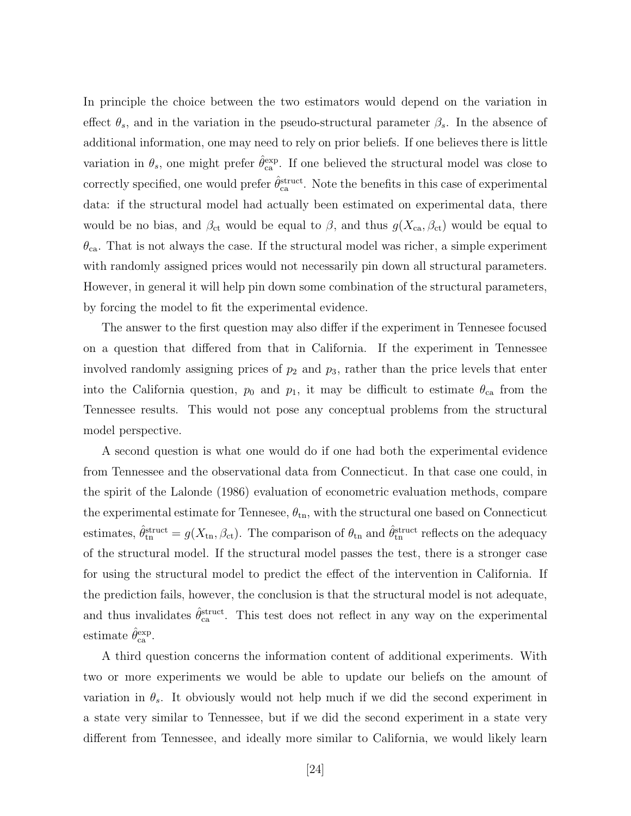In principle the choice between the two estimators would depend on the variation in effect  $\theta_s$ , and in the variation in the pseudo-structural parameter  $\beta_s$ . In the absence of additional information, one may need to rely on prior beliefs. If one believes there is little variation in  $\theta_s$ , one might prefer  $\hat{\theta}_{\text{ca}}^{\text{exp}}$ . If one believed the structural model was close to correctly specified, one would prefer  $\hat{\theta}_{\text{ca}}^{\text{struct}}$ . Note the benefits in this case of experimental data: if the structural model had actually been estimated on experimental data, there would be no bias, and  $\beta_{\rm ct}$  would be equal to  $\beta$ , and thus  $g(X_{\rm ca}, \beta_{\rm ct})$  would be equal to  $\theta_{\rm ca}$ . That is not always the case. If the structural model was richer, a simple experiment with randomly assigned prices would not necessarily pin down all structural parameters. However, in general it will help pin down some combination of the structural parameters, by forcing the model to fit the experimental evidence.

The answer to the first question may also differ if the experiment in Tennesee focused on a question that differed from that in California. If the experiment in Tennessee involved randomly assigning prices of  $p_2$  and  $p_3$ , rather than the price levels that enter into the California question,  $p_0$  and  $p_1$ , it may be difficult to estimate  $\theta_{ca}$  from the Tennessee results. This would not pose any conceptual problems from the structural model perspective.

A second question is what one would do if one had both the experimental evidence from Tennessee and the observational data from Connecticut. In that case one could, in the spirit of the Lalonde (1986) evaluation of econometric evaluation methods, compare the experimental estimate for Tennesee,  $\theta_{\rm tn}$ , with the structural one based on Connecticut estimates,  $\hat{\theta}_{\text{tn}}^{\text{struct}} = g(X_{\text{tn}}, \beta_{\text{ct}})$ . The comparison of  $\theta_{\text{tn}}$  and  $\hat{\theta}_{\text{tn}}^{\text{struct}}$  reflects on the adequacy of the structural model. If the structural model passes the test, there is a stronger case for using the structural model to predict the effect of the intervention in California. If the prediction fails, however, the conclusion is that the structural model is not adequate, and thus invalidates  $\hat{\theta}_{ca}^{struct}$ . This test does not reflect in any way on the experimental estimate  $\hat{\theta}_{\text{ca}}^{\text{exp}}$ .

A third question concerns the information content of additional experiments. With two or more experiments we would be able to update our beliefs on the amount of variation in  $\theta_s$ . It obviously would not help much if we did the second experiment in a state very similar to Tennessee, but if we did the second experiment in a state very different from Tennessee, and ideally more similar to California, we would likely learn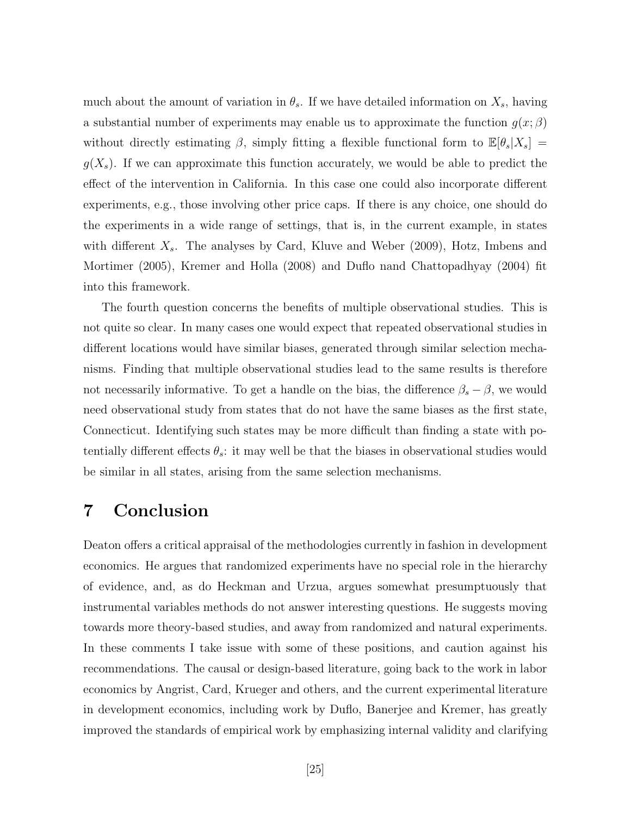much about the amount of variation in  $\theta_s$ . If we have detailed information on  $X_s$ , having a substantial number of experiments may enable us to approximate the function  $g(x; \beta)$ without directly estimating  $\beta$ , simply fitting a flexible functional form to  $\mathbb{E}[\theta_s|X_s] =$  $g(X_s)$ . If we can approximate this function accurately, we would be able to predict the effect of the intervention in California. In this case one could also incorporate different experiments, e.g., those involving other price caps. If there is any choice, one should do the experiments in a wide range of settings, that is, in the current example, in states with different  $X_s$ . The analyses by Card, Kluve and Weber (2009), Hotz, Imbens and Mortimer (2005), Kremer and Holla (2008) and Duflo nand Chattopadhyay (2004) fit into this framework.

The fourth question concerns the benefits of multiple observational studies. This is not quite so clear. In many cases one would expect that repeated observational studies in different locations would have similar biases, generated through similar selection mechanisms. Finding that multiple observational studies lead to the same results is therefore not necessarily informative. To get a handle on the bias, the difference  $\beta_s - \beta$ , we would need observational study from states that do not have the same biases as the first state, Connecticut. Identifying such states may be more difficult than finding a state with potentially different effects  $\theta_s$ : it may well be that the biases in observational studies would be similar in all states, arising from the same selection mechanisms.

#### 7 Conclusion

Deaton offers a critical appraisal of the methodologies currently in fashion in development economics. He argues that randomized experiments have no special role in the hierarchy of evidence, and, as do Heckman and Urzua, argues somewhat presumptuously that instrumental variables methods do not answer interesting questions. He suggests moving towards more theory-based studies, and away from randomized and natural experiments. In these comments I take issue with some of these positions, and caution against his recommendations. The causal or design-based literature, going back to the work in labor economics by Angrist, Card, Krueger and others, and the current experimental literature in development economics, including work by Duflo, Banerjee and Kremer, has greatly improved the standards of empirical work by emphasizing internal validity and clarifying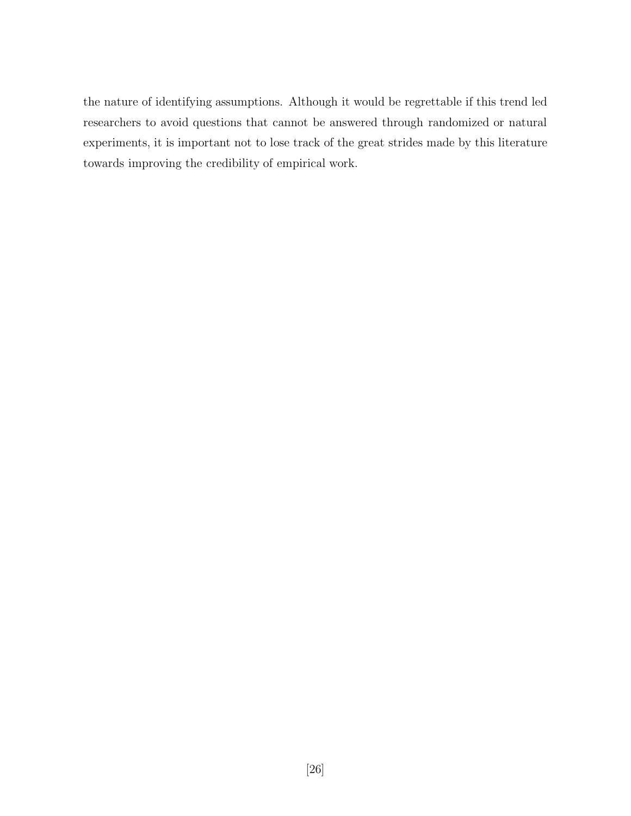the nature of identifying assumptions. Although it would be regrettable if this trend led researchers to avoid questions that cannot be answered through randomized or natural experiments, it is important not to lose track of the great strides made by this literature towards improving the credibility of empirical work.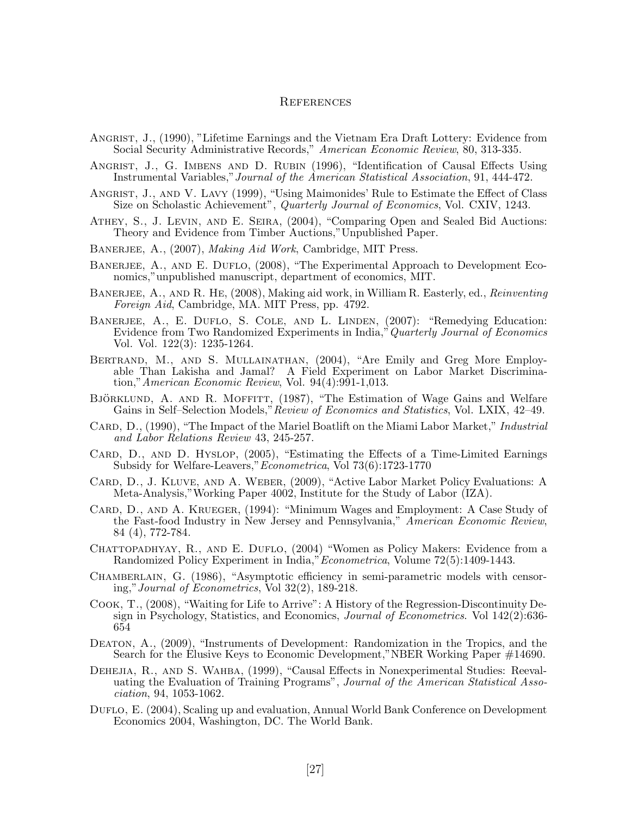#### **REFERENCES**

- ANGRIST, J., (1990), "Lifetime Earnings and the Vietnam Era Draft Lottery: Evidence from Social Security Administrative Records," American Economic Review, 80, 313-335.
- Angrist, J., G. Imbens and D. Rubin (1996), "Identification of Causal Effects Using Instrumental Variables,"Journal of the American Statistical Association, 91, 444-472.
- Angrist, J., and V. Lavy (1999), "Using Maimonides' Rule to Estimate the Effect of Class Size on Scholastic Achievement", Quarterly Journal of Economics, Vol. CXIV, 1243.
- Athey, S., J. Levin, and E. Seira, (2004), "Comparing Open and Sealed Bid Auctions: Theory and Evidence from Timber Auctions,"Unpublished Paper.
- BANERJEE, A., (2007), *Making Aid Work*, Cambridge, MIT Press.
- BANERJEE, A., AND E. DUFLO, (2008), "The Experimental Approach to Development Economics,"unpublished manuscript, department of economics, MIT.
- BANERJEE, A., AND R. HE, (2008), Making aid work, in William R. Easterly, ed., Reinventing Foreign Aid, Cambridge, MA. MIT Press, pp. 4792.
- BANERJEE, A., E. DUFLO, S. COLE, AND L. LINDEN, (2007): "Remedying Education: Evidence from Two Randomized Experiments in India," Quarterly Journal of Economics Vol. Vol. 122(3): 1235-1264.
- BERTRAND, M., AND S. MULLAINATHAN, (2004), "Are Emily and Greg More Employable Than Lakisha and Jamal? A Field Experiment on Labor Market Discrimination,"American Economic Review, Vol. 94(4):991-1,013.
- BJÖRKLUND, A. AND R. MOFFITT, (1987), "The Estimation of Wage Gains and Welfare Gains in Self–Selection Models," Review of Economics and Statistics, Vol. LXIX, 42–49.
- CARD, D., (1990), "The Impact of the Mariel Boatlift on the Miami Labor Market," *Industrial* and Labor Relations Review 43, 245-257.
- CARD, D., AND D. HYSLOP, (2005), "Estimating the Effects of a Time-Limited Earnings Subsidy for Welfare-Leavers,"Econometrica, Vol 73(6):1723-1770
- Card, D., J. Kluve, and A. Weber, (2009), "Active Labor Market Policy Evaluations: A Meta-Analysis,"Working Paper 4002, Institute for the Study of Labor (IZA).
- Card, D., and A. Krueger, (1994): "Minimum Wages and Employment: A Case Study of the Fast-food Industry in New Jersey and Pennsylvania," American Economic Review, 84 (4), 772-784.
- CHATTOPADHYAY, R., AND E. DUFLO, (2004) "Women as Policy Makers: Evidence from a Randomized Policy Experiment in India,"Econometrica, Volume 72(5):1409-1443.
- CHAMBERLAIN, G. (1986), "Asymptotic efficiency in semi-parametric models with censoring,"Journal of Econometrics, Vol 32(2), 189-218.
- Cook, T., (2008), "Waiting for Life to Arrive": A History of the Regression-Discontinuity Design in Psychology, Statistics, and Economics, *Journal of Econometrics*. Vol 142(2):636-654
- DEATON, A.,  $(2009)$ , "Instruments of Development: Randomization in the Tropics, and the Search for the Elusive Keys to Economic Development,"NBER Working Paper #14690.
- Dehejia, R., and S. Wahba, (1999), "Causal Effects in Nonexperimental Studies: Reevaluating the Evaluation of Training Programs", Journal of the American Statistical Association, 94, 1053-1062.
- DUFLO, E. (2004), Scaling up and evaluation, Annual World Bank Conference on Development Economics 2004, Washington, DC. The World Bank.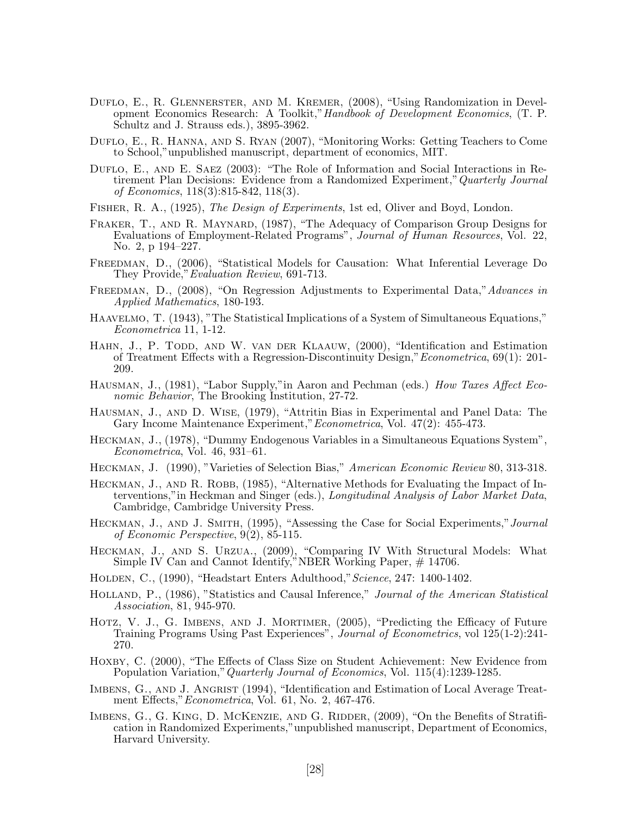- DUFLO, E., R. GLENNERSTER, AND M. KREMER, (2008), "Using Randomization in Development Economics Research: A Toolkit,"Handbook of Development Economics, (T. P. Schultz and J. Strauss eds.), 3895-3962.
- Duflo, E., R. Hanna, and S. Ryan (2007), "Monitoring Works: Getting Teachers to Come to School,"unpublished manuscript, department of economics, MIT.
- DUFLO, E., AND E. SAEZ (2003): "The Role of Information and Social Interactions in Retirement Plan Decisions: Evidence from a Randomized Experiment," Quarterly Journal of Economics, 118(3):815-842, 118(3).
- Fisher, R. A., (1925), The Design of Experiments, 1st ed, Oliver and Boyd, London.
- FRAKER, T., AND R. MAYNARD, (1987), "The Adequacy of Comparison Group Designs for Evaluations of Employment-Related Programs", Journal of Human Resources, Vol. 22, No. 2, p 194–227.
- FREEDMAN, D., (2006), "Statistical Models for Causation: What Inferential Leverage Do They Provide,"Evaluation Review, 691-713.
- FREEDMAN, D., (2008), "On Regression Adjustments to Experimental Data," Advances in Applied Mathematics, 180-193.
- HAAVELMO, T. (1943), "The Statistical Implications of a System of Simultaneous Equations," Econometrica 11, 1-12.
- HAHN, J., P. TODD, AND W. VAN DER KLAAUW, (2000), "Identification and Estimation of Treatment Effects with a Regression-Discontinuity Design,"Econometrica, 69(1): 201- 209.
- Hausman, J., (1981), "Labor Supply,"in Aaron and Pechman (eds.) How Taxes Affect Economic Behavior, The Brooking Institution, 27-72.
- Hausman, J., and D. Wise, (1979), "Attritin Bias in Experimental and Panel Data: The Gary Income Maintenance Experiment,"Econometrica, Vol. 47(2): 455-473.
- Heckman, J., (1978), "Dummy Endogenous Variables in a Simultaneous Equations System", Econometrica, Vol. 46, 931–61.
- Heckman, J. (1990), "Varieties of Selection Bias," American Economic Review 80, 313-318.
- HECKMAN, J., AND R. ROBB, (1985), "Alternative Methods for Evaluating the Impact of Interventions,"in Heckman and Singer (eds.), Longitudinal Analysis of Labor Market Data, Cambridge, Cambridge University Press.
- HECKMAN, J., AND J. SMITH, (1995), "Assessing the Case for Social Experiments," Journal of Economic Perspective, 9(2), 85-115.
- Heckman, J., and S. Urzua., (2009), "Comparing IV With Structural Models: What Simple IV Can and Cannot Identify,"NBER Working Paper, # 14706.
- Holden, C., (1990), "Headstart Enters Adulthood,"Science, 247: 1400-1402.
- HOLLAND, P., (1986), "Statistics and Causal Inference," Journal of the American Statistical Association, 81, 945-970.
- HOTZ, V. J., G. IMBENS, AND J. MORTIMER,  $(2005)$ , "Predicting the Efficacy of Future Training Programs Using Past Experiences", Journal of Econometrics, vol 125(1-2):241- 270.
- HOXBY, C. (2000), "The Effects of Class Size on Student Achievement: New Evidence from Population Variation,"Quarterly Journal of Economics, Vol. 115(4):1239-1285.
- IMBENS, G., AND J. ANGRIST (1994), "Identification and Estimation of Local Average Treatment Effects,"Econometrica, Vol. 61, No. 2, 467-476.
- IMBENS, G., G. KING, D. MCKENZIE, AND G. RIDDER, (2009), "On the Benefits of Stratification in Randomized Experiments,"unpublished manuscript, Department of Economics, Harvard University.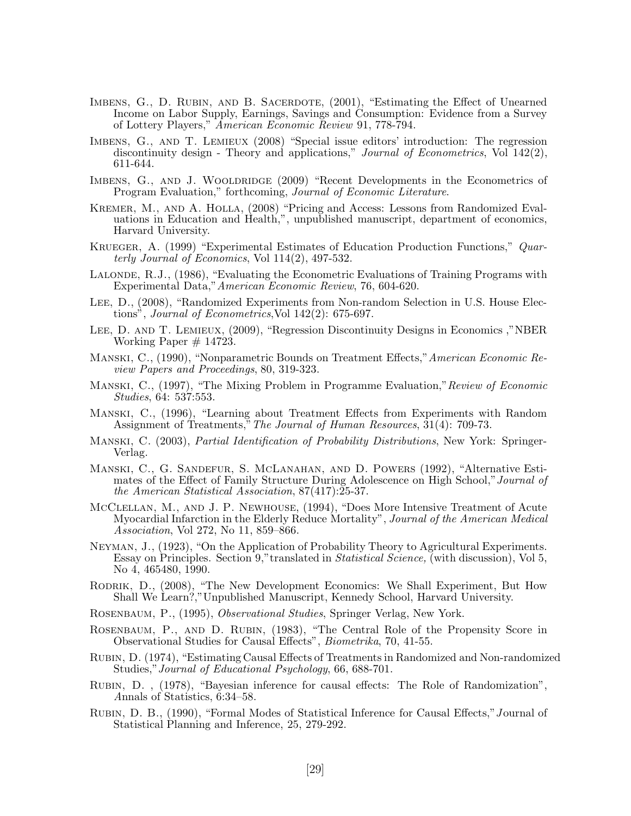- IMBENS, G., D. RUBIN, AND B. SACERDOTE, (2001), "Estimating the Effect of Unearned Income on Labor Supply, Earnings, Savings and Consumption: Evidence from a Survey of Lottery Players," American Economic Review 91, 778-794.
- IMBENS, G., AND T. LEMIEUX (2008) "Special issue editors' introduction: The regression discontinuity design - Theory and applications," Journal of Econometrics, Vol 142(2), 611-644.
- IMBENS, G., AND J. WOOLDRIDGE (2009) "Recent Developments in the Econometrics of Program Evaluation," forthcoming, Journal of Economic Literature.
- Kremer, M., and A. Holla, (2008) "Pricing and Access: Lessons from Randomized Evaluations in Education and Health,", unpublished manuscript, department of economics, Harvard University.
- Krueger, A. (1999) "Experimental Estimates of Education Production Functions," Quarterly Journal of Economics, Vol 114(2), 497-532.
- Lalonde, R.J., (1986), "Evaluating the Econometric Evaluations of Training Programs with Experimental Data,"American Economic Review, 76, 604-620.
- Lee, D., (2008), "Randomized Experiments from Non-random Selection in U.S. House Elections", Journal of Econometrics,Vol 142(2): 675-697.
- Lee, D. and T. Lemieux, (2009), "Regression Discontinuity Designs in Economics ,"NBER Working Paper  $# 14723$ .
- Manski, C., (1990), "Nonparametric Bounds on Treatment Effects,"American Economic Review Papers and Proceedings, 80, 319-323.
- MANSKI, C., (1997), "The Mixing Problem in Programme Evaluation," Review of Economic Studies, 64: 537:553.
- Manski, C., (1996), "Learning about Treatment Effects from Experiments with Random Assignment of Treatments," The Journal of Human Resources, 31(4): 709-73.
- Manski, C. (2003), Partial Identification of Probability Distributions, New York: Springer-Verlag.
- Manski, C., G. Sandefur, S. McLanahan, and D. Powers (1992), "Alternative Estimates of the Effect of Family Structure During Adolescence on High School," Journal of the American Statistical Association, 87(417):25-37.
- McClellan, M., and J. P. Newhouse, (1994), "Does More Intensive Treatment of Acute Myocardial Infarction in the Elderly Reduce Mortality", *Journal of the American Medical* Association, Vol 272, No 11, 859–866.
- Neyman, J., (1923), "On the Application of Probability Theory to Agricultural Experiments. Essay on Principles. Section 9," translated in *Statistical Science*, (with discussion), Vol 5, No 4, 465480, 1990.
- Rodrik, D., (2008), "The New Development Economics: We Shall Experiment, But How Shall We Learn?,"Unpublished Manuscript, Kennedy School, Harvard University.
- Rosenbaum, P., (1995), Observational Studies, Springer Verlag, New York.
- Rosenbaum, P., and D. Rubin, (1983), "The Central Role of the Propensity Score in Observational Studies for Causal Effects", Biometrika, 70, 41-55.
- Rubin, D. (1974), "Estimating Causal Effects of Treatments in Randomized and Non-randomized Studies,"Journal of Educational Psychology, 66, 688-701.
- Rubin, D. , (1978), "Bayesian inference for causal effects: The Role of Randomization", Annals of Statistics, 6:34–58.
- RUBIN, D. B., (1990), "Formal Modes of Statistical Inference for Causal Effects," Journal of Statistical Planning and Inference, 25, 279-292.